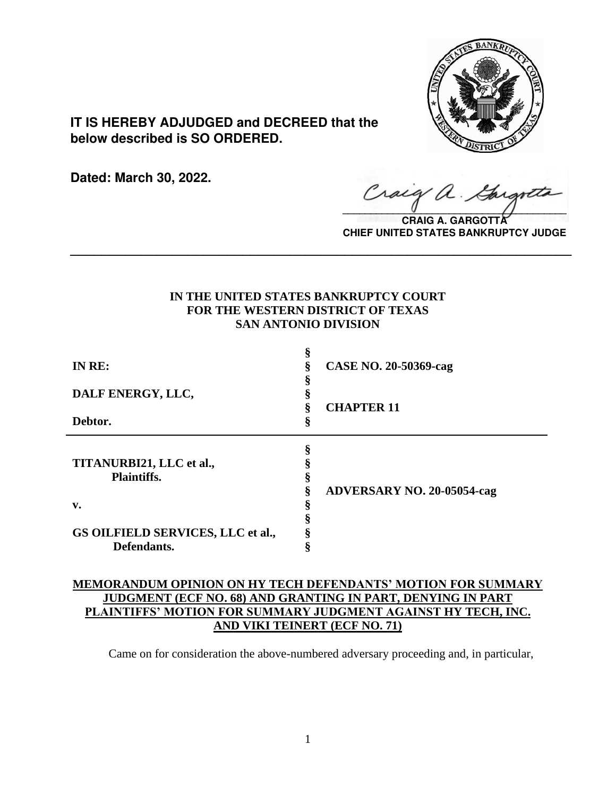

**IT IS HEREBY ADJUDGED and DECREED that the below described is SO ORDERED.**

**Dated: March 30, 2022.**

Craig a.

**CRAIG A. GARGOTT CHIEF UNITED STATES BANKRUPTCY JUDGE**

# **IN THE UNITED STATES BANKRUPTCY COURT FOR THE WESTERN DISTRICT OF TEXAS SAN ANTONIO DIVISION**

**\_\_\_\_\_\_\_\_\_\_\_\_\_\_\_\_\_\_\_\_\_\_\_\_\_\_\_\_\_\_\_\_\_\_\_\_\_\_\_\_\_\_\_\_\_\_\_\_\_\_\_\_\_\_\_\_\_\_\_\_\_\_\_\_**

| IN RE:                            |    | CASE NO. 20-50369-cag             |
|-----------------------------------|----|-----------------------------------|
|                                   |    |                                   |
| DALF ENERGY, LLC,                 |    |                                   |
|                                   |    | <b>CHAPTER 11</b>                 |
| Debtor.                           | \$ |                                   |
|                                   |    |                                   |
|                                   | 8  |                                   |
| TITANURBI21, LLC et al.,          |    |                                   |
| <b>Plaintiffs.</b>                |    |                                   |
|                                   |    | <b>ADVERSARY NO. 20-05054-cag</b> |
| v.                                |    |                                   |
|                                   |    |                                   |
| GS OILFIELD SERVICES, LLC et al., |    |                                   |
| Defendants.                       |    |                                   |

# **MEMORANDUM OPINION ON HY TECH DEFENDANTS' MOTION FOR SUMMARY JUDGMENT (ECF NO. 68) AND GRANTING IN PART, DENYING IN PART PLAINTIFFS' MOTION FOR SUMMARY JUDGMENT AGAINST HY TECH, INC. AND VIKI TEINERT (ECF NO. 71)**

Came on for consideration the above-numbered adversary proceeding and, in particular,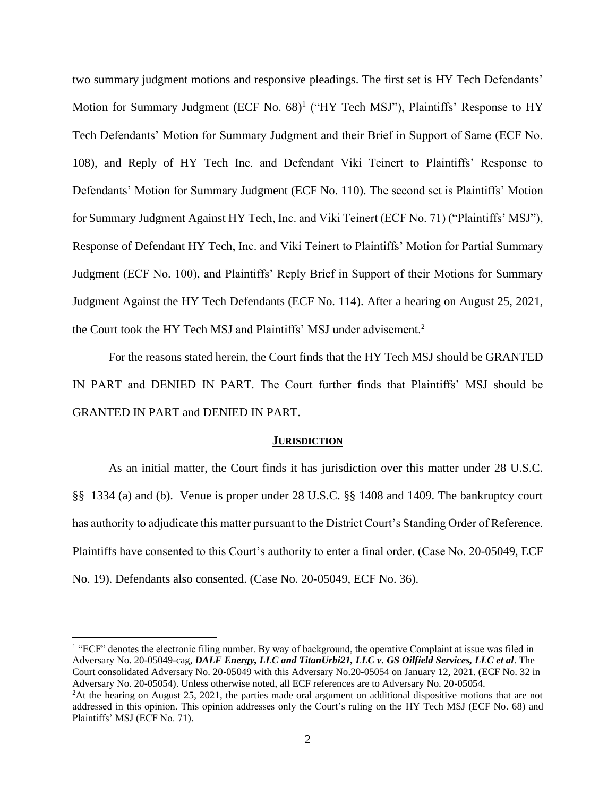two summary judgment motions and responsive pleadings. The first set is HY Tech Defendants' Motion for Summary Judgment (ECF No. 68)<sup>1</sup> ("HY Tech MSJ"), Plaintiffs' Response to HY Tech Defendants' Motion for Summary Judgment and their Brief in Support of Same (ECF No. 108), and Reply of HY Tech Inc. and Defendant Viki Teinert to Plaintiffs' Response to Defendants' Motion for Summary Judgment (ECF No. 110). The second set is Plaintiffs' Motion for Summary Judgment Against HY Tech, Inc. and Viki Teinert (ECF No. 71) ("Plaintiffs' MSJ"), Response of Defendant HY Tech, Inc. and Viki Teinert to Plaintiffs' Motion for Partial Summary Judgment (ECF No. 100), and Plaintiffs' Reply Brief in Support of their Motions for Summary Judgment Against the HY Tech Defendants (ECF No. 114). After a hearing on August 25, 2021, the Court took the HY Tech MSJ and Plaintiffs' MSJ under advisement.<sup>2</sup>

For the reasons stated herein, the Court finds that the HY Tech MSJ should be GRANTED IN PART and DENIED IN PART. The Court further finds that Plaintiffs' MSJ should be GRANTED IN PART and DENIED IN PART.

#### **JURISDICTION**

As an initial matter, the Court finds it has jurisdiction over this matter under 28 U.S.C. §§ 1334 (a) and (b). Venue is proper under 28 U.S.C. §§ 1408 and 1409. The bankruptcy court has authority to adjudicate this matter pursuant to the District Court's Standing Order of Reference. Plaintiffs have consented to this Court's authority to enter a final order. (Case No. 20-05049, ECF No. 19). Defendants also consented. (Case No. 20-05049, ECF No. 36).

<sup>&</sup>lt;sup>1</sup> "ECF" denotes the electronic filing number. By way of background, the operative Complaint at issue was filed in Adversary No. 20-05049-cag, *DALF Energy, LLC and TitanUrbi21, LLC v. GS Oilfield Services, LLC et al*. The Court consolidated Adversary No. 20-05049 with this Adversary No.20-05054 on January 12, 2021. (ECF No. 32 in Adversary No. 20-05054). Unless otherwise noted, all ECF references are to Adversary No. 20-05054.

<sup>&</sup>lt;sup>2</sup>At the hearing on August 25, 2021, the parties made oral argument on additional dispositive motions that are not addressed in this opinion. This opinion addresses only the Court's ruling on the HY Tech MSJ (ECF No. 68) and Plaintiffs' MSJ (ECF No. 71).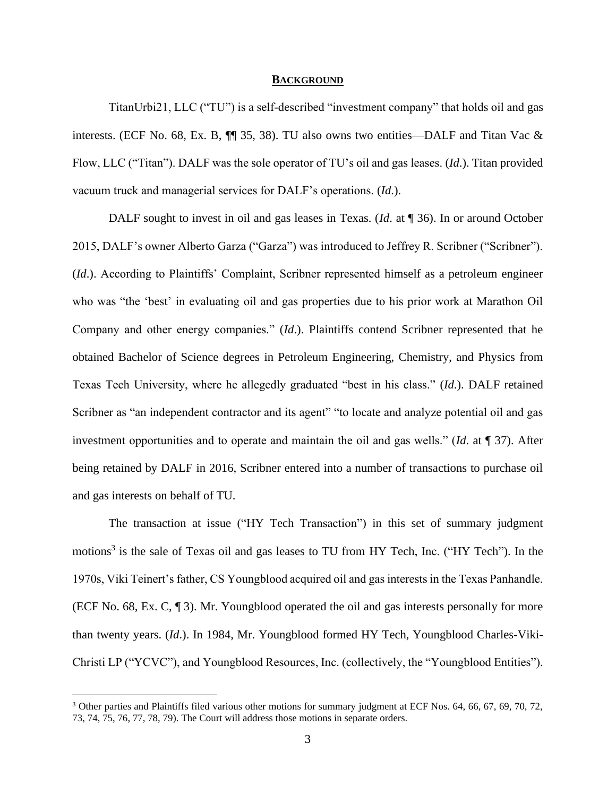#### **BACKGROUND**

TitanUrbi21, LLC ("TU") is a self-described "investment company" that holds oil and gas interests. (ECF No. 68, Ex. B,  $\P$  35, 38). TU also owns two entities—DALF and Titan Vac & Flow, LLC ("Titan"). DALF was the sole operator of TU's oil and gas leases. (*Id*.). Titan provided vacuum truck and managerial services for DALF's operations. (*Id*.).

DALF sought to invest in oil and gas leases in Texas. (*Id*. at ¶ 36). In or around October 2015, DALF's owner Alberto Garza ("Garza") was introduced to Jeffrey R. Scribner ("Scribner"). (*Id*.). According to Plaintiffs' Complaint, Scribner represented himself as a petroleum engineer who was "the 'best' in evaluating oil and gas properties due to his prior work at Marathon Oil Company and other energy companies." (*Id*.). Plaintiffs contend Scribner represented that he obtained Bachelor of Science degrees in Petroleum Engineering, Chemistry, and Physics from Texas Tech University, where he allegedly graduated "best in his class." (*Id*.). DALF retained Scribner as "an independent contractor and its agent" "to locate and analyze potential oil and gas investment opportunities and to operate and maintain the oil and gas wells." (*Id*. at ¶ 37). After being retained by DALF in 2016, Scribner entered into a number of transactions to purchase oil and gas interests on behalf of TU.

The transaction at issue ("HY Tech Transaction") in this set of summary judgment motions<sup>3</sup> is the sale of Texas oil and gas leases to TU from HY Tech, Inc. ("HY Tech"). In the 1970s, Viki Teinert's father, CS Youngblood acquired oil and gas interests in the Texas Panhandle. (ECF No. 68, Ex. C, ¶ 3). Mr. Youngblood operated the oil and gas interests personally for more than twenty years. (*Id*.). In 1984, Mr. Youngblood formed HY Tech, Youngblood Charles-Viki-Christi LP ("YCVC"), and Youngblood Resources, Inc. (collectively, the "Youngblood Entities").

<sup>&</sup>lt;sup>3</sup> Other parties and Plaintiffs filed various other motions for summary judgment at ECF Nos. 64, 66, 67, 69, 70, 72, 73, 74, 75, 76, 77, 78, 79). The Court will address those motions in separate orders.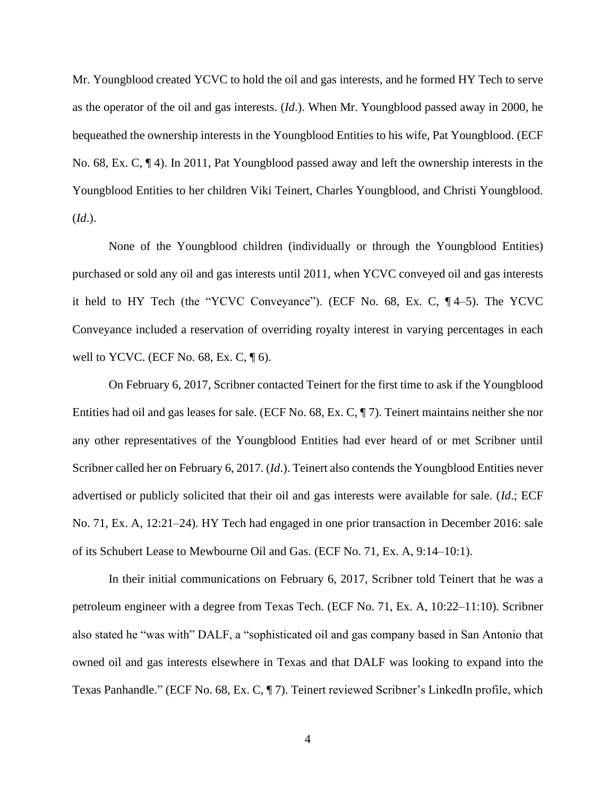Mr. Youngblood created YCVC to hold the oil and gas interests, and he formed HY Tech to serve as the operator of the oil and gas interests. (*Id*.). When Mr. Youngblood passed away in 2000, he bequeathed the ownership interests in the Youngblood Entities to his wife, Pat Youngblood. (ECF No. 68, Ex. C, ¶ 4). In 2011, Pat Youngblood passed away and left the ownership interests in the Youngblood Entities to her children Viki Teinert, Charles Youngblood, and Christi Youngblood. (*Id*.).

None of the Youngblood children (individually or through the Youngblood Entities) purchased or sold any oil and gas interests until 2011, when YCVC conveyed oil and gas interests it held to HY Tech (the "YCVC Conveyance"). (ECF No. 68, Ex. C, ¶ 4–5). The YCVC Conveyance included a reservation of overriding royalty interest in varying percentages in each well to YCVC. (ECF No. 68, Ex. C,  $\P$  6).

On February 6, 2017, Scribner contacted Teinert for the first time to ask if the Youngblood Entities had oil and gas leases for sale. (ECF No. 68, Ex. C, ¶ 7). Teinert maintains neither she nor any other representatives of the Youngblood Entities had ever heard of or met Scribner until Scribner called her on February 6, 2017. (*Id*.). Teinert also contends the Youngblood Entities never advertised or publicly solicited that their oil and gas interests were available for sale. (*Id*.; ECF No. 71, Ex. A, 12:21–24). HY Tech had engaged in one prior transaction in December 2016: sale of its Schubert Lease to Mewbourne Oil and Gas. (ECF No. 71, Ex. A, 9:14–10:1).

In their initial communications on February 6, 2017, Scribner told Teinert that he was a petroleum engineer with a degree from Texas Tech. (ECF No. 71, Ex. A, 10:22–11:10). Scribner also stated he "was with" DALF, a "sophisticated oil and gas company based in San Antonio that owned oil and gas interests elsewhere in Texas and that DALF was looking to expand into the Texas Panhandle." (ECF No. 68, Ex. C, ¶ 7). Teinert reviewed Scribner's LinkedIn profile, which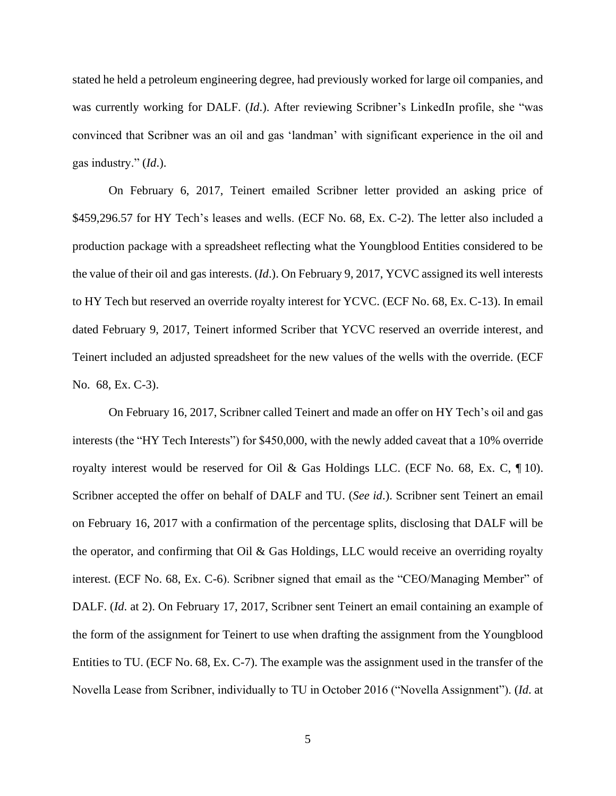stated he held a petroleum engineering degree, had previously worked for large oil companies, and was currently working for DALF. *(Id.)*. After reviewing Scribner's LinkedIn profile, she "was convinced that Scribner was an oil and gas 'landman' with significant experience in the oil and gas industry." (*Id*.).

On February 6, 2017, Teinert emailed Scribner letter provided an asking price of \$459,296.57 for HY Tech's leases and wells. (ECF No. 68, Ex. C-2). The letter also included a production package with a spreadsheet reflecting what the Youngblood Entities considered to be the value of their oil and gas interests. (*Id*.). On February 9, 2017, YCVC assigned its well interests to HY Tech but reserved an override royalty interest for YCVC. (ECF No. 68, Ex. C-13). In email dated February 9, 2017, Teinert informed Scriber that YCVC reserved an override interest, and Teinert included an adjusted spreadsheet for the new values of the wells with the override. (ECF No. 68, Ex. C-3).

On February 16, 2017, Scribner called Teinert and made an offer on HY Tech's oil and gas interests (the "HY Tech Interests") for \$450,000, with the newly added caveat that a 10% override royalty interest would be reserved for Oil & Gas Holdings LLC. (ECF No. 68, Ex. C, ¶ 10). Scribner accepted the offer on behalf of DALF and TU. (*See id*.). Scribner sent Teinert an email on February 16, 2017 with a confirmation of the percentage splits, disclosing that DALF will be the operator, and confirming that Oil & Gas Holdings, LLC would receive an overriding royalty interest. (ECF No. 68, Ex. C-6). Scribner signed that email as the "CEO/Managing Member" of DALF. (*Id*. at 2). On February 17, 2017, Scribner sent Teinert an email containing an example of the form of the assignment for Teinert to use when drafting the assignment from the Youngblood Entities to TU. (ECF No. 68, Ex. C-7). The example was the assignment used in the transfer of the Novella Lease from Scribner, individually to TU in October 2016 ("Novella Assignment"). (*Id*. at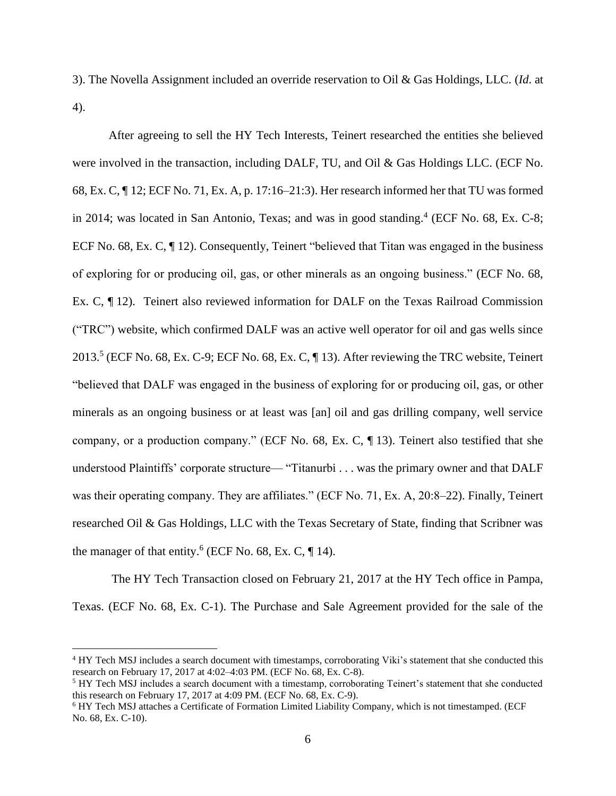3). The Novella Assignment included an override reservation to Oil & Gas Holdings, LLC. (*Id*. at 4).

After agreeing to sell the HY Tech Interests, Teinert researched the entities she believed were involved in the transaction, including DALF, TU, and Oil & Gas Holdings LLC. (ECF No. 68, Ex. C, ¶ 12; ECF No. 71, Ex. A, p. 17:16–21:3). Her research informed her that TU was formed in 2014; was located in San Antonio, Texas; and was in good standing.<sup>4</sup> (ECF No. 68, Ex. C-8; ECF No. 68, Ex. C, ¶ 12). Consequently, Teinert "believed that Titan was engaged in the business of exploring for or producing oil, gas, or other minerals as an ongoing business." (ECF No. 68, Ex. C, ¶ 12). Teinert also reviewed information for DALF on the Texas Railroad Commission ("TRC") website, which confirmed DALF was an active well operator for oil and gas wells since 2013.<sup>5</sup> (ECF No. 68, Ex. C-9; ECF No. 68, Ex. C, ¶ 13). After reviewing the TRC website, Teinert "believed that DALF was engaged in the business of exploring for or producing oil, gas, or other minerals as an ongoing business or at least was [an] oil and gas drilling company, well service company, or a production company." (ECF No. 68, Ex. C, ¶ 13). Teinert also testified that she understood Plaintiffs' corporate structure— "Titanurbi . . . was the primary owner and that DALF was their operating company. They are affiliates." (ECF No. 71, Ex. A, 20:8–22). Finally, Teinert researched Oil & Gas Holdings, LLC with the Texas Secretary of State, finding that Scribner was the manager of that entity.<sup>6</sup> (ECF No. 68, Ex. C,  $\P$  14).

The HY Tech Transaction closed on February 21, 2017 at the HY Tech office in Pampa, Texas. (ECF No. 68, Ex. C-1). The Purchase and Sale Agreement provided for the sale of the

<sup>4</sup> HY Tech MSJ includes a search document with timestamps, corroborating Viki's statement that she conducted this research on February 17, 2017 at 4:02–4:03 PM. (ECF No. 68, Ex. C-8).

<sup>&</sup>lt;sup>5</sup> HY Tech MSJ includes a search document with a timestamp, corroborating Teinert's statement that she conducted this research on February 17, 2017 at 4:09 PM. (ECF No. 68, Ex. C-9).

<sup>6</sup> HY Tech MSJ attaches a Certificate of Formation Limited Liability Company, which is not timestamped. (ECF No. 68, Ex. C-10).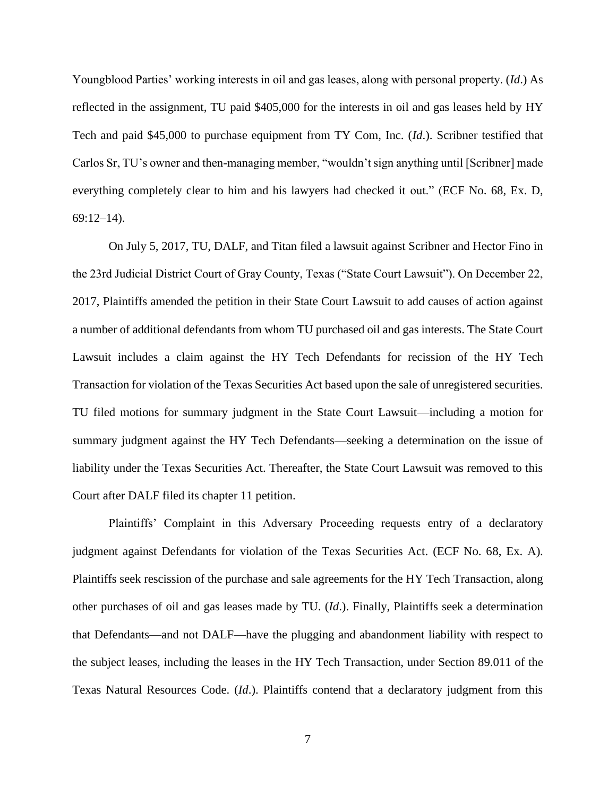Youngblood Parties' working interests in oil and gas leases, along with personal property. (*Id*.) As reflected in the assignment, TU paid \$405,000 for the interests in oil and gas leases held by HY Tech and paid \$45,000 to purchase equipment from TY Com, Inc. (*Id*.). Scribner testified that Carlos Sr, TU's owner and then-managing member, "wouldn't sign anything until [Scribner] made everything completely clear to him and his lawyers had checked it out." (ECF No. 68, Ex. D, 69:12–14).

On July 5, 2017, TU, DALF, and Titan filed a lawsuit against Scribner and Hector Fino in the 23rd Judicial District Court of Gray County, Texas ("State Court Lawsuit"). On December 22, 2017, Plaintiffs amended the petition in their State Court Lawsuit to add causes of action against a number of additional defendants from whom TU purchased oil and gas interests. The State Court Lawsuit includes a claim against the HY Tech Defendants for recission of the HY Tech Transaction for violation of the Texas Securities Act based upon the sale of unregistered securities. TU filed motions for summary judgment in the State Court Lawsuit—including a motion for summary judgment against the HY Tech Defendants—seeking a determination on the issue of liability under the Texas Securities Act. Thereafter, the State Court Lawsuit was removed to this Court after DALF filed its chapter 11 petition.

Plaintiffs' Complaint in this Adversary Proceeding requests entry of a declaratory judgment against Defendants for violation of the Texas Securities Act. (ECF No. 68, Ex. A). Plaintiffs seek rescission of the purchase and sale agreements for the HY Tech Transaction, along other purchases of oil and gas leases made by TU. (*Id*.). Finally, Plaintiffs seek a determination that Defendants—and not DALF—have the plugging and abandonment liability with respect to the subject leases, including the leases in the HY Tech Transaction, under Section 89.011 of the Texas Natural Resources Code. (*Id*.). Plaintiffs contend that a declaratory judgment from this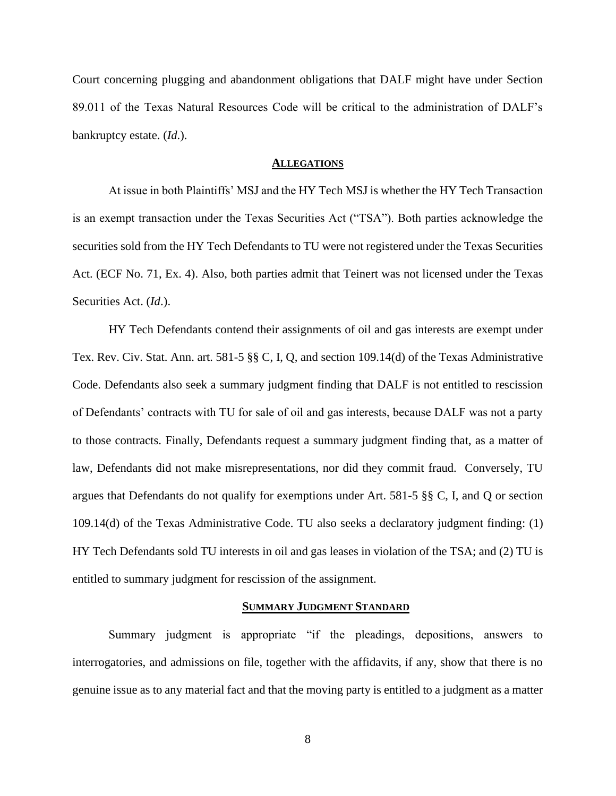Court concerning plugging and abandonment obligations that DALF might have under Section 89.011 of the Texas Natural Resources Code will be critical to the administration of DALF's bankruptcy estate. (*Id*.).

#### **ALLEGATIONS**

At issue in both Plaintiffs' MSJ and the HY Tech MSJ is whether the HY Tech Transaction is an exempt transaction under the Texas Securities Act ("TSA"). Both parties acknowledge the securities sold from the HY Tech Defendants to TU were not registered under the Texas Securities Act. (ECF No. 71, Ex. 4). Also, both parties admit that Teinert was not licensed under the Texas Securities Act. (*Id*.).

HY Tech Defendants contend their assignments of oil and gas interests are exempt under Tex. Rev. Civ. Stat. Ann. art. 581-5 §§ C, I, Q, and section 109.14(d) of the Texas Administrative Code. Defendants also seek a summary judgment finding that DALF is not entitled to rescission of Defendants' contracts with TU for sale of oil and gas interests, because DALF was not a party to those contracts. Finally, Defendants request a summary judgment finding that, as a matter of law, Defendants did not make misrepresentations, nor did they commit fraud. Conversely, TU argues that Defendants do not qualify for exemptions under Art. 581-5 §§ C, I, and Q or section 109.14(d) of the Texas Administrative Code. TU also seeks a declaratory judgment finding: (1) HY Tech Defendants sold TU interests in oil and gas leases in violation of the TSA; and (2) TU is entitled to summary judgment for rescission of the assignment.

#### **SUMMARY JUDGMENT STANDARD**

Summary judgment is appropriate "if the pleadings, depositions, answers to interrogatories, and admissions on file, together with the affidavits, if any, show that there is no genuine issue as to any material fact and that the moving party is entitled to a judgment as a matter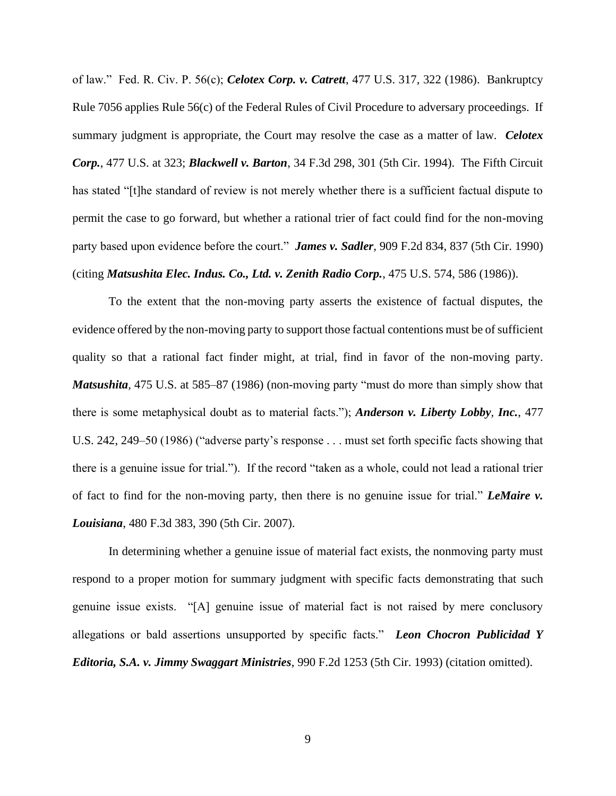of law." Fed. R. Civ. P. 56(c); *Celotex Corp. v. Catrett*, 477 U.S. 317, 322 (1986). Bankruptcy Rule 7056 applies Rule 56(c) of the Federal Rules of Civil Procedure to adversary proceedings. If summary judgment is appropriate, the Court may resolve the case as a matter of law. *Celotex Corp.*, 477 U.S. at 323; *Blackwell v. Barton*, 34 F.3d 298, 301 (5th Cir. 1994). The Fifth Circuit has stated "[t]he standard of review is not merely whether there is a sufficient factual dispute to permit the case to go forward, but whether a rational trier of fact could find for the non-moving party based upon evidence before the court." *James v. Sadler*, 909 F.2d 834, 837 (5th Cir. 1990) (citing *Matsushita Elec. Indus. Co., Ltd. v. Zenith Radio Corp.*, 475 U.S. 574, 586 (1986)).

To the extent that the non-moving party asserts the existence of factual disputes, the evidence offered by the non-moving party to support those factual contentions must be of sufficient quality so that a rational fact finder might, at trial, find in favor of the non-moving party. *Matsushita,* 475 U.S. at 585–87 (1986) (non-moving party "must do more than simply show that there is some metaphysical doubt as to material facts."); *Anderson v. Liberty Lobby, Inc.*, 477 U.S. 242, 249–50 (1986) ("adverse party's response . . . must set forth specific facts showing that there is a genuine issue for trial."). If the record "taken as a whole, could not lead a rational trier of fact to find for the non-moving party, then there is no genuine issue for trial." *LeMaire v. Louisiana*, 480 F.3d 383, 390 (5th Cir. 2007).

In determining whether a genuine issue of material fact exists, the nonmoving party must respond to a proper motion for summary judgment with specific facts demonstrating that such genuine issue exists. "[A] genuine issue of material fact is not raised by mere conclusory allegations or bald assertions unsupported by specific facts." *Leon Chocron Publicidad Y Editoria, S.A. v. Jimmy Swaggart Ministries*, 990 F.2d 1253 (5th Cir. 1993) (citation omitted).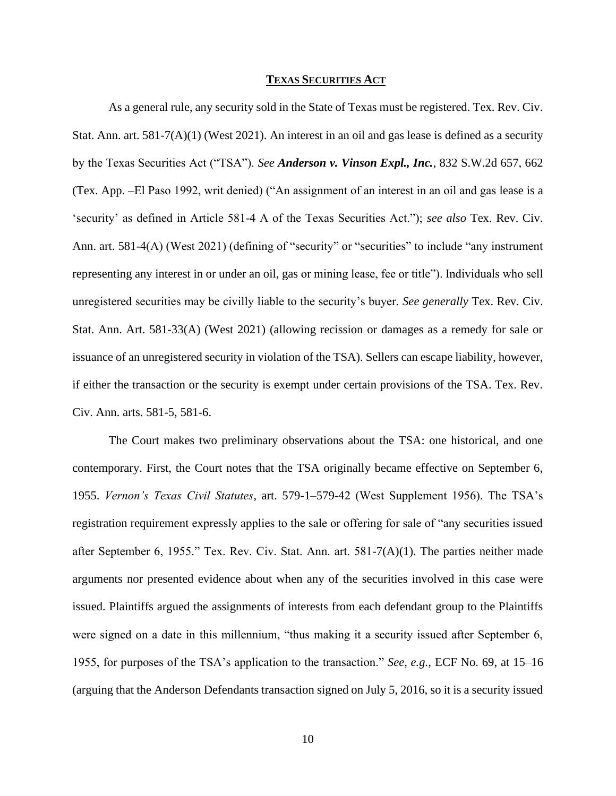#### **TEXAS SECURITIES ACT**

As a general rule, any security sold in the State of Texas must be registered. Tex. Rev. Civ. Stat. Ann. art.  $581-7(A)(1)$  (West 2021). An interest in an oil and gas lease is defined as a security by the Texas Securities Act ("TSA"). *See Anderson v. Vinson Expl., Inc.*, 832 S.W.2d 657, 662 (Tex. App. –El Paso 1992, writ denied) ("An assignment of an interest in an oil and gas lease is a 'security' as defined in Article 581-4 A of the Texas Securities Act."); *see also* Tex. Rev. Civ. Ann. art. 581-4(A) (West 2021) (defining of "security" or "securities" to include "any instrument" representing any interest in or under an oil, gas or mining lease, fee or title"). Individuals who sell unregistered securities may be civilly liable to the security's buyer. *See generally* Tex. Rev. Civ. Stat. Ann. Art. 581-33(A) (West 2021) (allowing recission or damages as a remedy for sale or issuance of an unregistered security in violation of the TSA). Sellers can escape liability, however, if either the transaction or the security is exempt under certain provisions of the TSA. Tex. Rev. Civ. Ann. arts. 581-5, 581-6.

The Court makes two preliminary observations about the TSA: one historical, and one contemporary. First, the Court notes that the TSA originally became effective on September 6, 1955. *Vernon's Texas Civil Statutes*, art. 579-1–579-42 (West Supplement 1956). The TSA's registration requirement expressly applies to the sale or offering for sale of "any securities issued after September 6, 1955." Tex. Rev. Civ. Stat. Ann. art. 581-7(A)(1). The parties neither made arguments nor presented evidence about when any of the securities involved in this case were issued. Plaintiffs argued the assignments of interests from each defendant group to the Plaintiffs were signed on a date in this millennium, "thus making it a security issued after September 6, 1955, for purposes of the TSA's application to the transaction." *See, e.g.,* ECF No. 69, at 15–16 (arguing that the Anderson Defendants transaction signed on July 5, 2016, so it is a security issued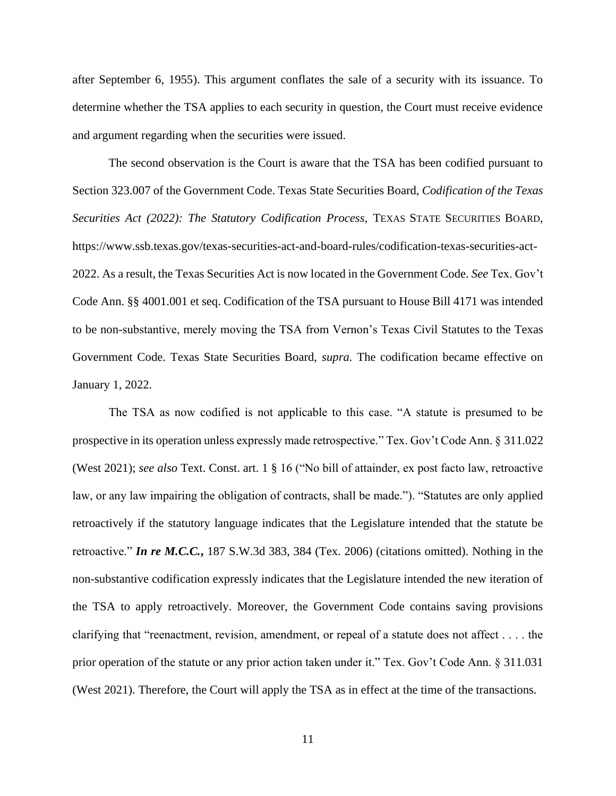after September 6, 1955). This argument conflates the sale of a security with its issuance. To determine whether the TSA applies to each security in question, the Court must receive evidence and argument regarding when the securities were issued.

The second observation is the Court is aware that the TSA has been codified pursuant to Section 323.007 of the Government Code. Texas State Securities Board, *Codification of the Texas Securities Act (2022): The Statutory Codification Process*, TEXAS STATE SECURITIES BOARD, https://www.ssb.texas.gov/texas-securities-act-and-board-rules/codification-texas-securities-act-2022. As a result, the Texas Securities Act is now located in the Government Code. *See* Tex. Gov't Code Ann. §§ 4001.001 et seq. Codification of the TSA pursuant to House Bill 4171 was intended to be non-substantive, merely moving the TSA from Vernon's Texas Civil Statutes to the Texas Government Code. Texas State Securities Board, *supra.* The codification became effective on January 1, 2022.

The TSA as now codified is not applicable to this case. "A statute is presumed to be prospective in its operation unless expressly made retrospective." Tex. Gov't Code Ann. § 311.022 (West 2021); *see also* Text. Const. art. 1 § 16 ("No bill of attainder, ex post facto law, retroactive law, or any law impairing the obligation of contracts, shall be made."). "Statutes are only applied retroactively if the statutory language indicates that the Legislature intended that the statute be retroactive." *In re M.C.C.***,** 187 S.W.3d 383, 384 (Tex. 2006) (citations omitted). Nothing in the non-substantive codification expressly indicates that the Legislature intended the new iteration of the TSA to apply retroactively. Moreover, the Government Code contains saving provisions clarifying that "reenactment, revision, amendment, or repeal of a statute does not affect . . . . the prior operation of the statute or any prior action taken under it." Tex. Gov't Code Ann. § 311.031 (West 2021). Therefore, the Court will apply the TSA as in effect at the time of the transactions.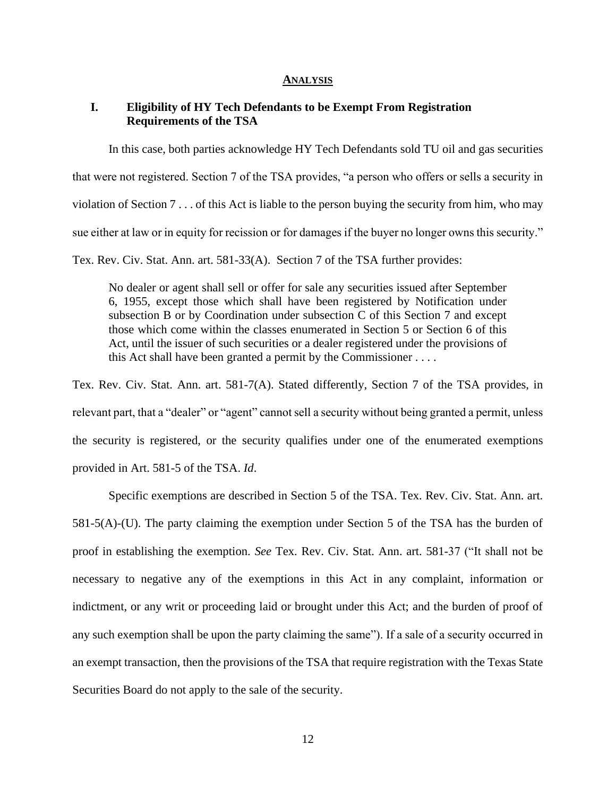### **ANALYSIS**

## **I. Eligibility of HY Tech Defendants to be Exempt From Registration Requirements of the TSA**

In this case, both parties acknowledge HY Tech Defendants sold TU oil and gas securities that were not registered. Section 7 of the TSA provides, "a person who offers or sells a security in

violation of Section 7 . . . of this Act is liable to the person buying the security from him, who may

sue either at law or in equity for recission or for damages if the buyer no longer owns this security."

Tex. Rev. Civ. Stat. Ann. art. 581-33(A). Section 7 of the TSA further provides:

No dealer or agent shall sell or offer for sale any securities issued after September 6, 1955, except those which shall have been registered by Notification under subsection B or by Coordination under subsection C of this Section 7 and except those which come within the classes enumerated in Section 5 or Section 6 of this Act, until the issuer of such securities or a dealer registered under the provisions of this Act shall have been granted a permit by the Commissioner . . . .

Tex. Rev. Civ. Stat. Ann. art. 581-7(A). Stated differently, Section 7 of the TSA provides, in relevant part, that a "dealer" or "agent" cannot sell a security without being granted a permit, unless the security is registered, or the security qualifies under one of the enumerated exemptions provided in Art. 581-5 of the TSA. *Id*.

Specific exemptions are described in Section 5 of the TSA. Tex. Rev. Civ. Stat. Ann. art. 581-5(A)-(U). The party claiming the exemption under Section 5 of the TSA has the burden of proof in establishing the exemption. *See* Tex. Rev. Civ. Stat. Ann. art. 581-37 ("It shall not be necessary to negative any of the exemptions in this Act in any complaint, information or indictment, or any writ or proceeding laid or brought under this Act; and the burden of proof of any such exemption shall be upon the party claiming the same"). If a sale of a security occurred in an exempt transaction, then the provisions of the TSA that require registration with the Texas State Securities Board do not apply to the sale of the security.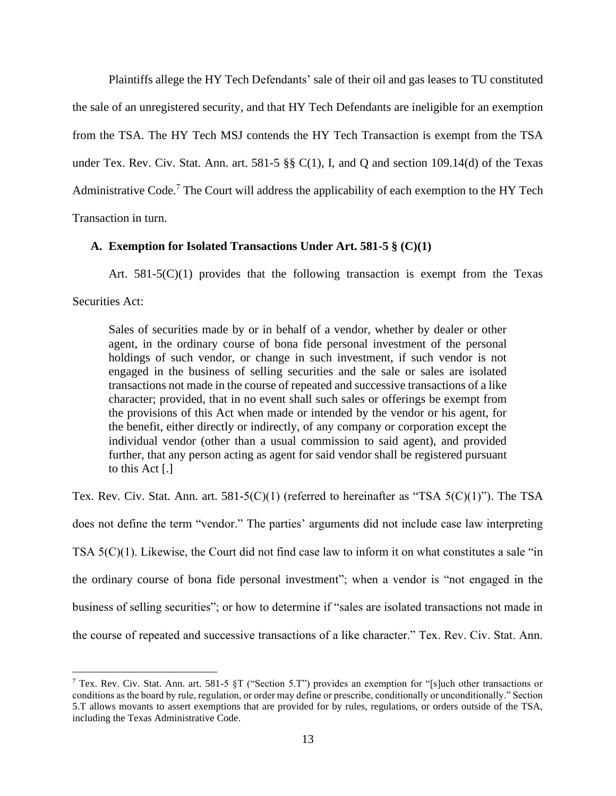Plaintiffs allege the HY Tech Defendants' sale of their oil and gas leases to TU constituted the sale of an unregistered security, and that HY Tech Defendants are ineligible for an exemption from the TSA. The HY Tech MSJ contends the HY Tech Transaction is exempt from the TSA under Tex. Rev. Civ. Stat. Ann. art. 581-5 §§ C(1), I, and Q and section 109.14(d) of the Texas Administrative Code.<sup>7</sup> The Court will address the applicability of each exemption to the HY Tech Transaction in turn.

## **A. Exemption for Isolated Transactions Under Art. 581-5 § (C)(1)**

Art.  $581-5(C)(1)$  provides that the following transaction is exempt from the Texas Securities Act:

Sales of securities made by or in behalf of a vendor, whether by dealer or other agent, in the ordinary course of bona fide personal investment of the personal holdings of such vendor, or change in such investment, if such vendor is not engaged in the business of selling securities and the sale or sales are isolated transactions not made in the course of repeated and successive transactions of a like character; provided, that in no event shall such sales or offerings be exempt from the provisions of this Act when made or intended by the vendor or his agent, for the benefit, either directly or indirectly, of any company or corporation except the individual vendor (other than a usual commission to said agent), and provided further, that any person acting as agent for said vendor shall be registered pursuant to this Act [.]

Tex. Rev. Civ. Stat. Ann. art. 581-5(C)(1) (referred to hereinafter as "TSA 5(C)(1)"). The TSA does not define the term "vendor." The parties' arguments did not include case law interpreting TSA 5(C)(1). Likewise, the Court did not find case law to inform it on what constitutes a sale "in the ordinary course of bona fide personal investment"; when a vendor is "not engaged in the business of selling securities"; or how to determine if "sales are isolated transactions not made in the course of repeated and successive transactions of a like character." Tex. Rev. Civ. Stat. Ann.

<sup>&</sup>lt;sup>7</sup> Tex. Rev. Civ. Stat. Ann. art. 581-5 §T ("Section 5.T") provides an exemption for "[s]uch other transactions or conditions as the board by rule, regulation, or order may define or prescribe, conditionally or unconditionally." Section 5.T allows movants to assert exemptions that are provided for by rules, regulations, or orders outside of the TSA, including the Texas Administrative Code.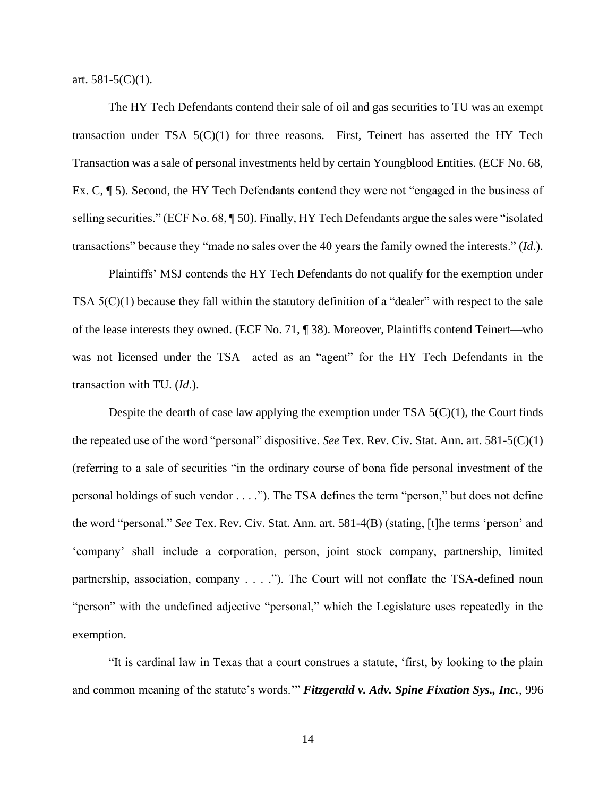art.  $581-5(C)(1)$ .

The HY Tech Defendants contend their sale of oil and gas securities to TU was an exempt transaction under TSA  $5(C)(1)$  for three reasons. First, Teinert has asserted the HY Tech Transaction was a sale of personal investments held by certain Youngblood Entities. (ECF No. 68, Ex. C, ¶ 5). Second, the HY Tech Defendants contend they were not "engaged in the business of selling securities." (ECF No. 68, ¶ 50). Finally, HY Tech Defendants argue the sales were "isolated transactions" because they "made no sales over the 40 years the family owned the interests." (*Id*.).

Plaintiffs' MSJ contends the HY Tech Defendants do not qualify for the exemption under TSA 5(C)(1) because they fall within the statutory definition of a "dealer" with respect to the sale of the lease interests they owned. (ECF No. 71, ¶ 38). Moreover, Plaintiffs contend Teinert—who was not licensed under the TSA—acted as an "agent" for the HY Tech Defendants in the transaction with TU. (*Id*.).

Despite the dearth of case law applying the exemption under TSA  $5(C)(1)$ , the Court finds the repeated use of the word "personal" dispositive. *See* Tex. Rev. Civ. Stat. Ann. art. 581-5(C)(1) (referring to a sale of securities "in the ordinary course of bona fide personal investment of the personal holdings of such vendor . . . ."). The TSA defines the term "person," but does not define the word "personal." *See* Tex. Rev. Civ. Stat. Ann. art. 581-4(B) (stating, [t]he terms 'person' and 'company' shall include a corporation, person, joint stock company, partnership, limited partnership, association, company . . . ."). The Court will not conflate the TSA-defined noun "person" with the undefined adjective "personal," which the Legislature uses repeatedly in the exemption.

"It is cardinal law in Texas that a court construes a statute, 'first, by looking to the plain and common meaning of the statute's words.'" *Fitzgerald v. Adv. Spine Fixation Sys., Inc.*, 996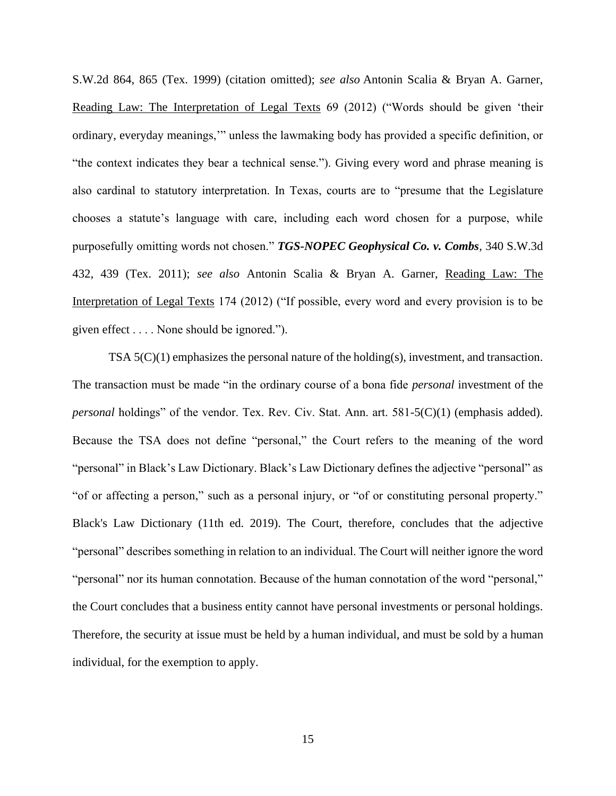S.W.2d 864, 865 (Tex. 1999) (citation omitted); *see also* Antonin Scalia & Bryan A. Garner, Reading Law: The Interpretation of Legal Texts 69 (2012) ("Words should be given 'their ordinary, everyday meanings,'" unless the lawmaking body has provided a specific definition, or "the context indicates they bear a technical sense."). Giving every word and phrase meaning is also cardinal to statutory interpretation. In Texas, courts are to "presume that the Legislature chooses a statute's language with care, including each word chosen for a purpose, while purposefully omitting words not chosen." *TGS-NOPEC Geophysical Co. v. Combs*, 340 S.W.3d 432, 439 (Tex. 2011); *see also* Antonin Scalia & Bryan A. Garner, Reading Law: The Interpretation of Legal Texts 174 (2012) ("If possible, every word and every provision is to be given effect . . . . None should be ignored.").

TSA 5(C)(1) emphasizes the personal nature of the holding(s), investment, and transaction. The transaction must be made "in the ordinary course of a bona fide *personal* investment of the *personal* holdings" of the vendor. Tex. Rev. Civ. Stat. Ann. art. 581-5(C)(1) (emphasis added). Because the TSA does not define "personal," the Court refers to the meaning of the word "personal" in Black's Law Dictionary. Black's Law Dictionary defines the adjective "personal" as "of or affecting a person," such as a personal injury, or "of or constituting personal property." Black's Law Dictionary (11th ed. 2019). The Court, therefore, concludes that the adjective "personal" describes something in relation to an individual. The Court will neither ignore the word "personal" nor its human connotation. Because of the human connotation of the word "personal," the Court concludes that a business entity cannot have personal investments or personal holdings. Therefore, the security at issue must be held by a human individual, and must be sold by a human individual, for the exemption to apply.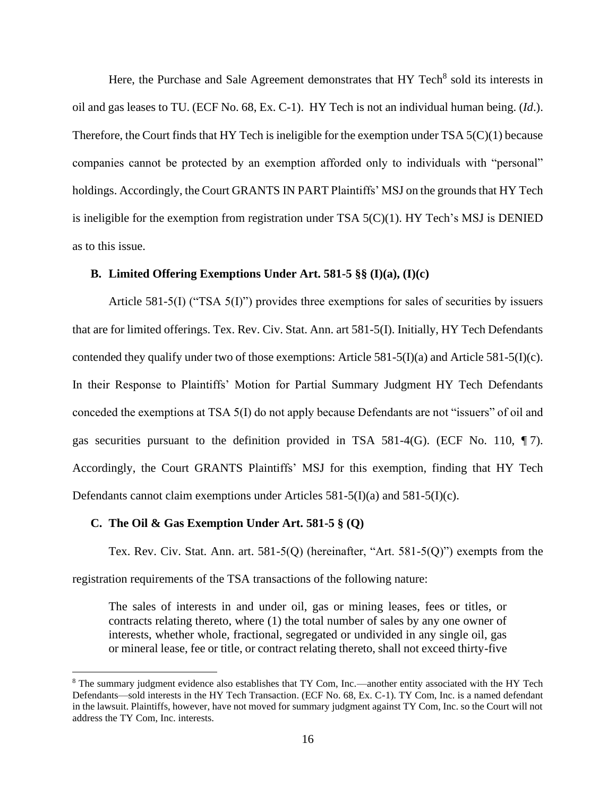Here, the Purchase and Sale Agreement demonstrates that HY Tech<sup>8</sup> sold its interests in oil and gas leases to TU. (ECF No. 68, Ex. C-1). HY Tech is not an individual human being. (*Id*.). Therefore, the Court finds that HY Tech is ineligible for the exemption under TSA  $5(C)(1)$  because companies cannot be protected by an exemption afforded only to individuals with "personal" holdings. Accordingly, the Court GRANTS IN PART Plaintiffs' MSJ on the grounds that HY Tech is ineligible for the exemption from registration under TSA  $5(C)(1)$ . HY Tech's MSJ is DENIED as to this issue.

## **B. Limited Offering Exemptions Under Art. 581-5 §§ (I)(a), (I)(c)**

Article 581-5(I) ("TSA 5(I)") provides three exemptions for sales of securities by issuers that are for limited offerings. Tex. Rev. Civ. Stat. Ann. art 581-5(I). Initially, HY Tech Defendants contended they qualify under two of those exemptions: Article 581-5(I)(a) and Article 581-5(I)(c). In their Response to Plaintiffs' Motion for Partial Summary Judgment HY Tech Defendants conceded the exemptions at TSA 5(I) do not apply because Defendants are not "issuers" of oil and gas securities pursuant to the definition provided in TSA 581-4(G). (ECF No. 110, ¶ 7). Accordingly, the Court GRANTS Plaintiffs' MSJ for this exemption, finding that HY Tech Defendants cannot claim exemptions under Articles 581-5(I)(a) and 581-5(I)(c).

### **C. The Oil & Gas Exemption Under Art. 581-5 § (Q)**

Tex. Rev. Civ. Stat. Ann. art.  $581-5(Q)$  (hereinafter, "Art.  $581-5(Q)$ ") exempts from the registration requirements of the TSA transactions of the following nature:

The sales of interests in and under oil, gas or mining leases, fees or titles, or contracts relating thereto, where (1) the total number of sales by any one owner of interests, whether whole, fractional, segregated or undivided in any single oil, gas or mineral lease, fee or title, or contract relating thereto, shall not exceed thirty-five

<sup>&</sup>lt;sup>8</sup> The summary judgment evidence also establishes that TY Com, Inc.—another entity associated with the HY Tech Defendants—sold interests in the HY Tech Transaction. (ECF No. 68, Ex. C-1). TY Com, Inc. is a named defendant in the lawsuit. Plaintiffs, however, have not moved for summary judgment against TY Com, Inc. so the Court will not address the TY Com, Inc. interests.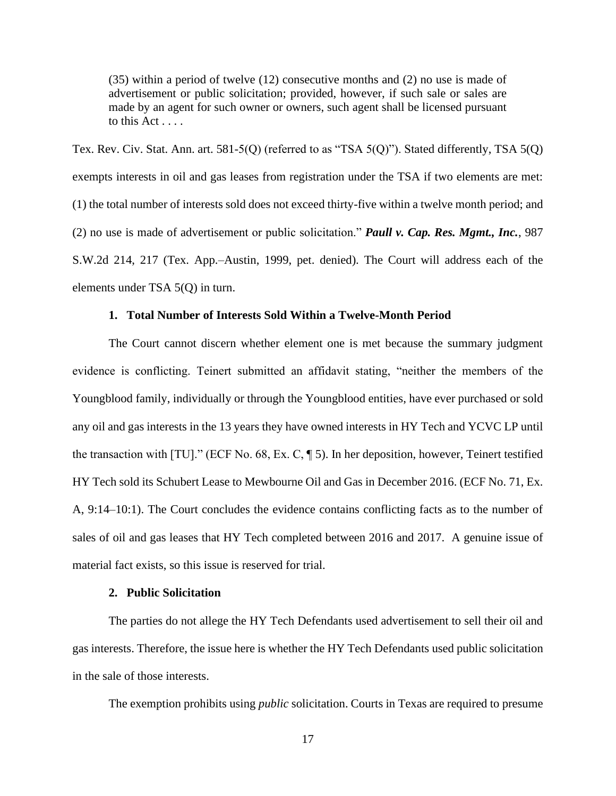(35) within a period of twelve (12) consecutive months and (2) no use is made of advertisement or public solicitation; provided, however, if such sale or sales are made by an agent for such owner or owners, such agent shall be licensed pursuant to this  $Act \ldots$ .

Tex. Rev. Civ. Stat. Ann. art. 581-5(Q) (referred to as "TSA 5(Q)"). Stated differently, TSA 5(Q) exempts interests in oil and gas leases from registration under the TSA if two elements are met: (1) the total number of interests sold does not exceed thirty-five within a twelve month period; and (2) no use is made of advertisement or public solicitation." *Paull v. Cap. Res. Mgmt., Inc.*, 987 S.W.2d 214, 217 (Tex. App.–Austin, 1999, pet. denied). The Court will address each of the elements under TSA 5(Q) in turn.

## **1. Total Number of Interests Sold Within a Twelve-Month Period**

The Court cannot discern whether element one is met because the summary judgment evidence is conflicting. Teinert submitted an affidavit stating, "neither the members of the Youngblood family, individually or through the Youngblood entities, have ever purchased or sold any oil and gas interests in the 13 years they have owned interests in HY Tech and YCVC LP until the transaction with [TU]." (ECF No. 68, Ex. C, ¶ 5). In her deposition, however, Teinert testified HY Tech sold its Schubert Lease to Mewbourne Oil and Gas in December 2016. (ECF No. 71, Ex. A, 9:14–10:1). The Court concludes the evidence contains conflicting facts as to the number of sales of oil and gas leases that HY Tech completed between 2016 and 2017. A genuine issue of material fact exists, so this issue is reserved for trial.

## **2. Public Solicitation**

The parties do not allege the HY Tech Defendants used advertisement to sell their oil and gas interests. Therefore, the issue here is whether the HY Tech Defendants used public solicitation in the sale of those interests.

The exemption prohibits using *public* solicitation. Courts in Texas are required to presume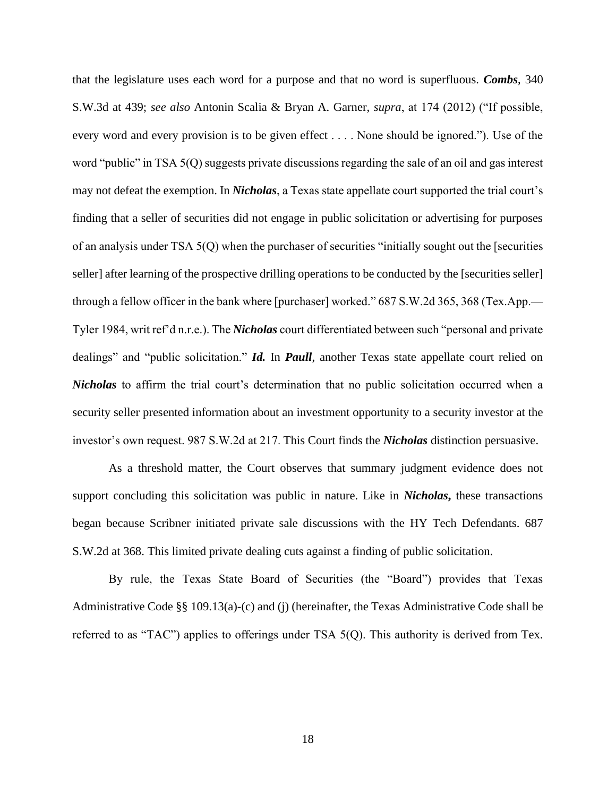that the legislature uses each word for a purpose and that no word is superfluous. *Combs*, 340 S.W.3d at 439; *see also* Antonin Scalia & Bryan A. Garner, *supra*, at 174 (2012) ("If possible, every word and every provision is to be given effect . . . . None should be ignored."). Use of the word "public" in TSA 5(Q) suggests private discussions regarding the sale of an oil and gas interest may not defeat the exemption. In *Nicholas*, a Texas state appellate court supported the trial court's finding that a seller of securities did not engage in public solicitation or advertising for purposes of an analysis under TSA 5(Q) when the purchaser of securities "initially sought out the [securities seller] after learning of the prospective drilling operations to be conducted by the [securities seller] through a fellow officer in the bank where [purchaser] worked." 687 S.W.2d 365, 368 (Tex.App.— Tyler 1984, writ ref'd n.r.e.). The *Nicholas* court differentiated between such "personal and private dealings" and "public solicitation." *Id.* In *Paull*, another Texas state appellate court relied on *Nicholas* to affirm the trial court's determination that no public solicitation occurred when a security seller presented information about an investment opportunity to a security investor at the investor's own request. 987 S.W.2d at 217. This Court finds the *Nicholas* distinction persuasive.

As a threshold matter, the Court observes that summary judgment evidence does not support concluding this solicitation was public in nature. Like in *Nicholas***,** these transactions began because Scribner initiated private sale discussions with the HY Tech Defendants. 687 S.W.2d at 368. This limited private dealing cuts against a finding of public solicitation.

By rule, the Texas State Board of Securities (the "Board") provides that Texas Administrative Code §§ 109.13(a)-(c) and (j) (hereinafter, the Texas Administrative Code shall be referred to as "TAC") applies to offerings under TSA 5(Q). This authority is derived from Tex.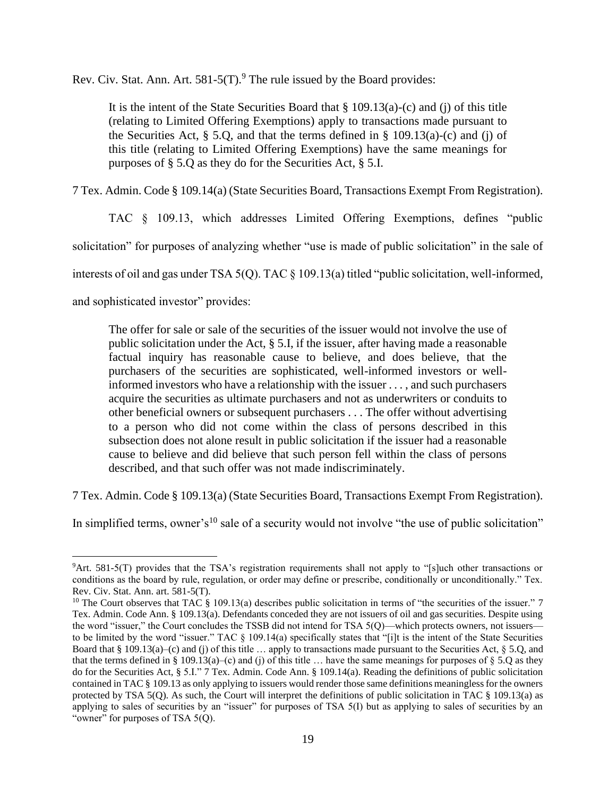Rev. Civ. Stat. Ann. Art.  $581-5(T)$ .<sup>9</sup> The rule issued by the Board provides:

It is the intent of the State Securities Board that  $\S$  109.13(a)-(c) and (j) of this title (relating to Limited Offering Exemptions) apply to transactions made pursuant to the Securities Act,  $\S$  5.Q, and that the terms defined in  $\S$  109.13(a)-(c) and (j) of this title (relating to Limited Offering Exemptions) have the same meanings for purposes of § 5.Q as they do for the Securities Act, § 5.I.

7 Tex. Admin. Code § 109.14(a) (State Securities Board, Transactions Exempt From Registration).

TAC § 109.13, which addresses Limited Offering Exemptions, defines "public

solicitation" for purposes of analyzing whether "use is made of public solicitation" in the sale of

interests of oil and gas under TSA 5(Q). TAC § 109.13(a) titled "public solicitation, well-informed,

and sophisticated investor" provides:

The offer for sale or sale of the securities of the issuer would not involve the use of public solicitation under the Act, § 5.I, if the issuer, after having made a reasonable factual inquiry has reasonable cause to believe, and does believe, that the purchasers of the securities are sophisticated, well-informed investors or wellinformed investors who have a relationship with the issuer . . . , and such purchasers acquire the securities as ultimate purchasers and not as underwriters or conduits to other beneficial owners or subsequent purchasers . . . The offer without advertising to a person who did not come within the class of persons described in this subsection does not alone result in public solicitation if the issuer had a reasonable cause to believe and did believe that such person fell within the class of persons described, and that such offer was not made indiscriminately.

7 Tex. Admin. Code § 109.13(a) (State Securities Board, Transactions Exempt From Registration).

In simplified terms, owner's<sup>10</sup> sale of a security would not involve "the use of public solicitation"

<sup>9</sup>Art. 581-5(T) provides that the TSA's registration requirements shall not apply to "[s]uch other transactions or conditions as the board by rule, regulation, or order may define or prescribe, conditionally or unconditionally." Tex. Rev. Civ. Stat. Ann. art. 581-5(T).

<sup>&</sup>lt;sup>10</sup> The Court observes that TAC  $\S$  109.13(a) describes public solicitation in terms of "the securities of the issuer." 7 Tex. Admin. Code Ann. § 109.13(a). Defendants conceded they are not issuers of oil and gas securities. Despite using the word "issuer," the Court concludes the TSSB did not intend for TSA 5(Q)—which protects owners, not issuers to be limited by the word "issuer." TAC § 109.14(a) specifically states that "[i]t is the intent of the State Securities Board that  $\S 109.13(a)$ –(c) and (j) of this title ... apply to transactions made pursuant to the Securities Act,  $\S 5.Q$ , and that the terms defined in § 109.13(a)–(c) and (j) of this title ... have the same meanings for purposes of § 5.Q as they do for the Securities Act, § 5.I." 7 Tex. Admin. Code Ann. § 109.14(a). Reading the definitions of public solicitation contained in TAC § 109.13 as only applying to issuers would render those same definitions meaningless for the owners protected by TSA 5(Q). As such, the Court will interpret the definitions of public solicitation in TAC § 109.13(a) as applying to sales of securities by an "issuer" for purposes of TSA 5(I) but as applying to sales of securities by an "owner" for purposes of TSA 5(Q).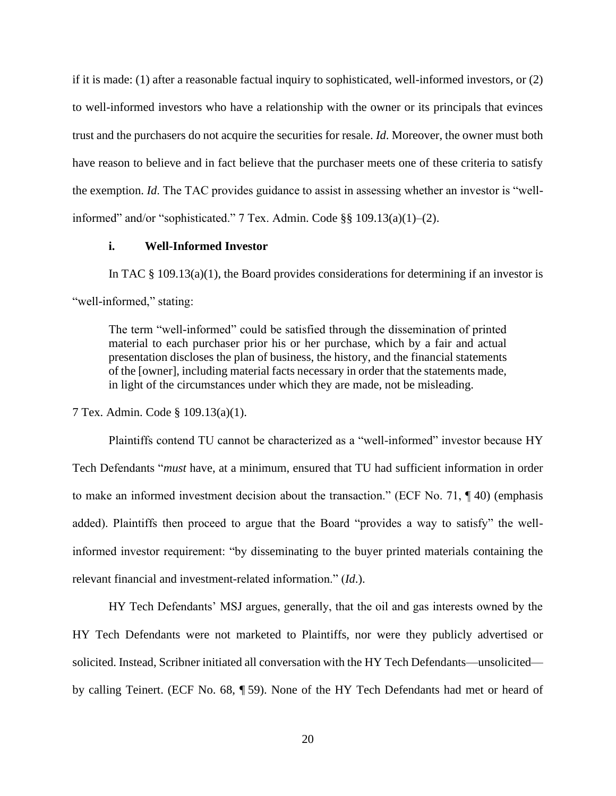if it is made: (1) after a reasonable factual inquiry to sophisticated, well-informed investors, or (2) to well-informed investors who have a relationship with the owner or its principals that evinces trust and the purchasers do not acquire the securities for resale. *Id*. Moreover, the owner must both have reason to believe and in fact believe that the purchaser meets one of these criteria to satisfy the exemption. *Id*. The TAC provides guidance to assist in assessing whether an investor is "wellinformed" and/or "sophisticated." 7 Tex. Admin. Code §§ 109.13(a)(1)–(2).

## **i. Well-Informed Investor**

In TAC  $\S$  109.13(a)(1), the Board provides considerations for determining if an investor is "well-informed," stating:

The term "well-informed" could be satisfied through the dissemination of printed material to each purchaser prior his or her purchase, which by a fair and actual presentation discloses the plan of business, the history, and the financial statements of the [owner], including material facts necessary in order that the statements made, in light of the circumstances under which they are made, not be misleading.

7 Tex. Admin. Code § 109.13(a)(1).

Plaintiffs contend TU cannot be characterized as a "well-informed" investor because HY Tech Defendants "*must* have, at a minimum, ensured that TU had sufficient information in order to make an informed investment decision about the transaction." (ECF No. 71, ¶ 40) (emphasis added). Plaintiffs then proceed to argue that the Board "provides a way to satisfy" the wellinformed investor requirement: "by disseminating to the buyer printed materials containing the relevant financial and investment-related information." (*Id*.).

HY Tech Defendants' MSJ argues, generally, that the oil and gas interests owned by the HY Tech Defendants were not marketed to Plaintiffs, nor were they publicly advertised or solicited. Instead, Scribner initiated all conversation with the HY Tech Defendants—unsolicited by calling Teinert. (ECF No. 68, ¶ 59). None of the HY Tech Defendants had met or heard of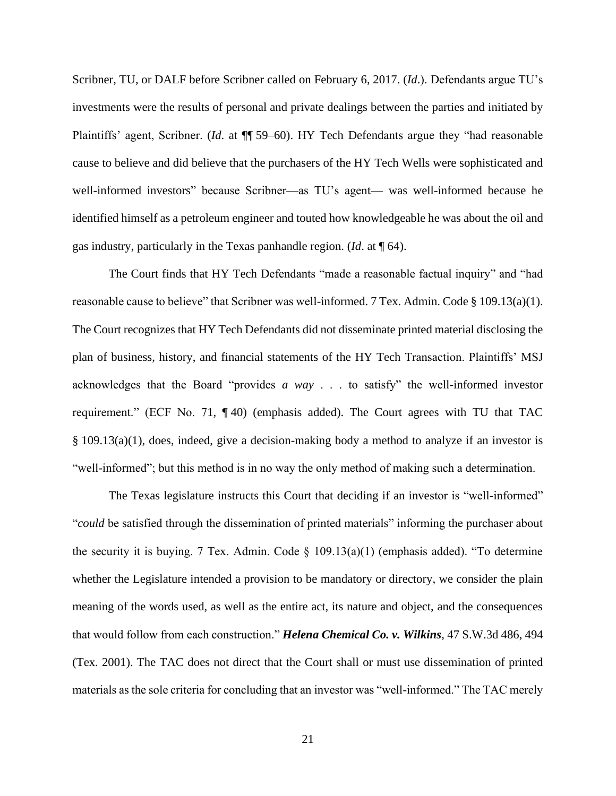Scribner, TU, or DALF before Scribner called on February 6, 2017. (*Id*.). Defendants argue TU's investments were the results of personal and private dealings between the parties and initiated by Plaintiffs' agent, Scribner. (*Id*. at ¶¶ 59–60). HY Tech Defendants argue they "had reasonable cause to believe and did believe that the purchasers of the HY Tech Wells were sophisticated and well-informed investors" because Scribner—as TU's agent— was well-informed because he identified himself as a petroleum engineer and touted how knowledgeable he was about the oil and gas industry, particularly in the Texas panhandle region. (*Id*. at ¶ 64).

The Court finds that HY Tech Defendants "made a reasonable factual inquiry" and "had reasonable cause to believe" that Scribner was well-informed. 7 Tex. Admin. Code § 109.13(a)(1). The Court recognizes that HY Tech Defendants did not disseminate printed material disclosing the plan of business, history, and financial statements of the HY Tech Transaction. Plaintiffs' MSJ acknowledges that the Board "provides *a way* . . . to satisfy" the well-informed investor requirement." (ECF No. 71, ¶ 40) (emphasis added). The Court agrees with TU that TAC § 109.13(a)(1), does, indeed, give a decision-making body a method to analyze if an investor is "well-informed"; but this method is in no way the only method of making such a determination.

The Texas legislature instructs this Court that deciding if an investor is "well-informed" "*could* be satisfied through the dissemination of printed materials" informing the purchaser about the security it is buying. 7 Tex. Admin. Code  $\S$  109.13(a)(1) (emphasis added). "To determine whether the Legislature intended a provision to be mandatory or directory, we consider the plain meaning of the words used, as well as the entire act, its nature and object, and the consequences that would follow from each construction." *Helena Chemical Co. v. Wilkins*, 47 S.W.3d 486, 494 (Tex. 2001). The TAC does not direct that the Court shall or must use dissemination of printed materials as the sole criteria for concluding that an investor was "well-informed." The TAC merely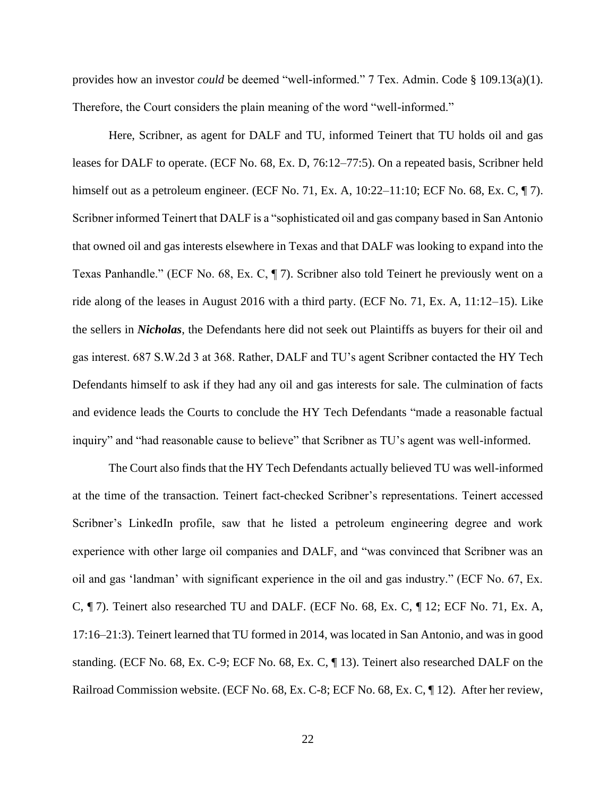provides how an investor *could* be deemed "well-informed." 7 Tex. Admin. Code § 109.13(a)(1). Therefore, the Court considers the plain meaning of the word "well-informed."

Here, Scribner, as agent for DALF and TU, informed Teinert that TU holds oil and gas leases for DALF to operate. (ECF No. 68, Ex. D, 76:12–77:5). On a repeated basis, Scribner held himself out as a petroleum engineer. (ECF No. 71, Ex. A, 10:22–11:10; ECF No. 68, Ex. C, ¶ 7). Scribner informed Teinert that DALF is a "sophisticated oil and gas company based in San Antonio that owned oil and gas interests elsewhere in Texas and that DALF was looking to expand into the Texas Panhandle." (ECF No. 68, Ex. C, ¶ 7). Scribner also told Teinert he previously went on a ride along of the leases in August 2016 with a third party. (ECF No. 71, Ex. A, 11:12–15). Like the sellers in *Nicholas*, the Defendants here did not seek out Plaintiffs as buyers for their oil and gas interest. 687 S.W.2d 3 at 368. Rather, DALF and TU's agent Scribner contacted the HY Tech Defendants himself to ask if they had any oil and gas interests for sale. The culmination of facts and evidence leads the Courts to conclude the HY Tech Defendants "made a reasonable factual inquiry" and "had reasonable cause to believe" that Scribner as TU's agent was well-informed.

The Court also finds that the HY Tech Defendants actually believed TU was well-informed at the time of the transaction. Teinert fact-checked Scribner's representations. Teinert accessed Scribner's LinkedIn profile, saw that he listed a petroleum engineering degree and work experience with other large oil companies and DALF, and "was convinced that Scribner was an oil and gas 'landman' with significant experience in the oil and gas industry." (ECF No. 67, Ex. C, ¶ 7). Teinert also researched TU and DALF. (ECF No. 68, Ex. C, ¶ 12; ECF No. 71, Ex. A, 17:16–21:3). Teinert learned that TU formed in 2014, was located in San Antonio, and was in good standing. (ECF No. 68, Ex. C-9; ECF No. 68, Ex. C, ¶ 13). Teinert also researched DALF on the Railroad Commission website. (ECF No. 68, Ex. C-8; ECF No. 68, Ex. C, ¶ 12). After her review,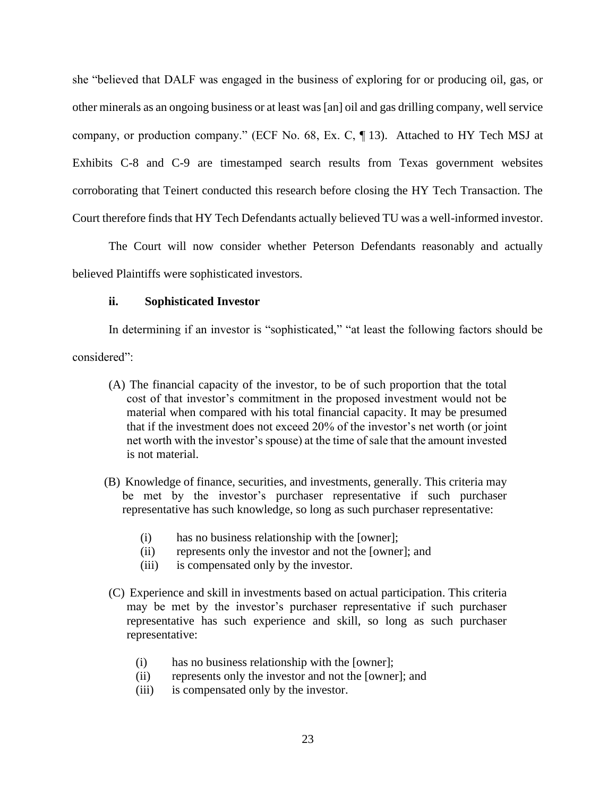she "believed that DALF was engaged in the business of exploring for or producing oil, gas, or other minerals as an ongoing business or at least was [an] oil and gas drilling company, well service company, or production company." (ECF No. 68, Ex. C, ¶ 13). Attached to HY Tech MSJ at Exhibits C-8 and C-9 are timestamped search results from Texas government websites corroborating that Teinert conducted this research before closing the HY Tech Transaction. The Court therefore finds that HY Tech Defendants actually believed TU was a well-informed investor.

The Court will now consider whether Peterson Defendants reasonably and actually believed Plaintiffs were sophisticated investors.

## **ii. Sophisticated Investor**

In determining if an investor is "sophisticated," "at least the following factors should be considered":

- (A) The financial capacity of the investor, to be of such proportion that the total cost of that investor's commitment in the proposed investment would not be material when compared with his total financial capacity. It may be presumed that if the investment does not exceed 20% of the investor's net worth (or joint net worth with the investor's spouse) at the time of sale that the amount invested is not material.
- (B) Knowledge of finance, securities, and investments, generally. This criteria may be met by the investor's purchaser representative if such purchaser representative has such knowledge, so long as such purchaser representative:
	- (i) has no business relationship with the [owner];
	- (ii) represents only the investor and not the [owner]; and
	- (iii) is compensated only by the investor.
- (C) Experience and skill in investments based on actual participation. This criteria may be met by the investor's purchaser representative if such purchaser representative has such experience and skill, so long as such purchaser representative:
	- (i) has no business relationship with the [owner];
	- (ii) represents only the investor and not the [owner]; and
	- (iii) is compensated only by the investor.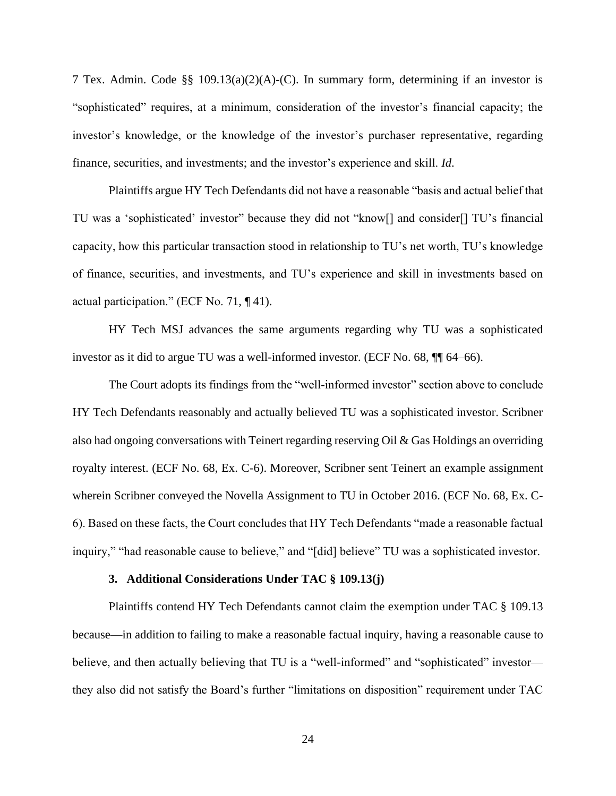7 Tex. Admin. Code §§ 109.13(a)(2)(A)-(C). In summary form, determining if an investor is "sophisticated" requires, at a minimum, consideration of the investor's financial capacity; the investor's knowledge, or the knowledge of the investor's purchaser representative, regarding finance, securities, and investments; and the investor's experience and skill. *Id*.

Plaintiffs argue HY Tech Defendants did not have a reasonable "basis and actual belief that TU was a 'sophisticated' investor" because they did not "know[] and consider[] TU's financial capacity, how this particular transaction stood in relationship to TU's net worth, TU's knowledge of finance, securities, and investments, and TU's experience and skill in investments based on actual participation." (ECF No. 71, ¶ 41).

HY Tech MSJ advances the same arguments regarding why TU was a sophisticated investor as it did to argue TU was a well-informed investor. (ECF No. 68, ¶¶ 64–66).

The Court adopts its findings from the "well-informed investor" section above to conclude HY Tech Defendants reasonably and actually believed TU was a sophisticated investor. Scribner also had ongoing conversations with Teinert regarding reserving Oil & Gas Holdings an overriding royalty interest. (ECF No. 68, Ex. C-6). Moreover, Scribner sent Teinert an example assignment wherein Scribner conveyed the Novella Assignment to TU in October 2016. (ECF No. 68, Ex. C-6). Based on these facts, the Court concludes that HY Tech Defendants "made a reasonable factual inquiry," "had reasonable cause to believe," and "[did] believe" TU was a sophisticated investor.

#### **3. Additional Considerations Under TAC § 109.13(j)**

Plaintiffs contend HY Tech Defendants cannot claim the exemption under TAC § 109.13 because—in addition to failing to make a reasonable factual inquiry, having a reasonable cause to believe, and then actually believing that TU is a "well-informed" and "sophisticated" investor they also did not satisfy the Board's further "limitations on disposition" requirement under TAC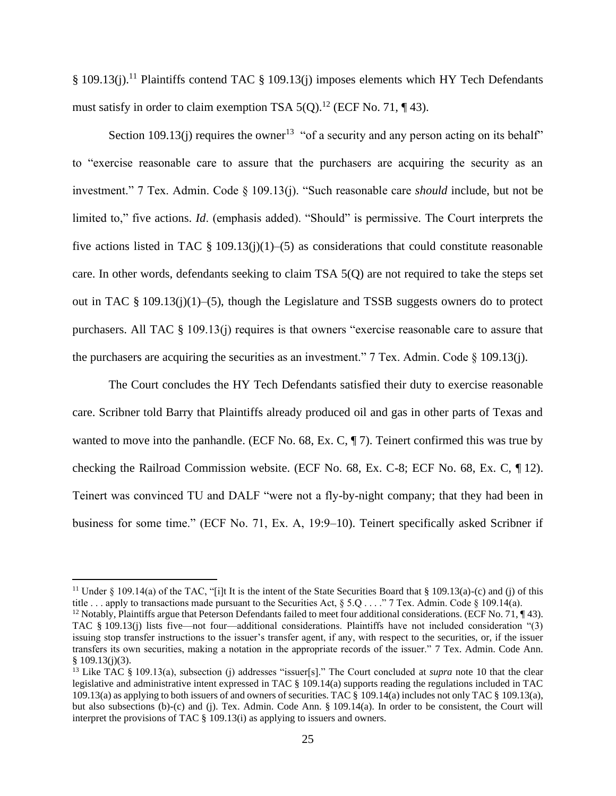§ 109.13(j).<sup>11</sup> Plaintiffs contend TAC § 109.13(j) imposes elements which HY Tech Defendants must satisfy in order to claim exemption TSA  $5(Q)$ .<sup>12</sup> (ECF No. 71, ¶ 43).

Section 109.13(j) requires the owner<sup>13</sup> "of a security and any person acting on its behalf" to "exercise reasonable care to assure that the purchasers are acquiring the security as an investment." 7 Tex. Admin. Code § 109.13(j). "Such reasonable care *should* include, but not be limited to," five actions. *Id*. (emphasis added). "Should" is permissive. The Court interprets the five actions listed in TAC  $\S 109.13(i)(1)–(5)$  as considerations that could constitute reasonable care. In other words, defendants seeking to claim TSA 5(Q) are not required to take the steps set out in TAC § 109.13(j)(1)–(5), though the Legislature and TSSB suggests owners do to protect purchasers. All TAC § 109.13(j) requires is that owners "exercise reasonable care to assure that the purchasers are acquiring the securities as an investment."  $7$  Tex. Admin. Code  $\S$  109.13(j).

The Court concludes the HY Tech Defendants satisfied their duty to exercise reasonable care. Scribner told Barry that Plaintiffs already produced oil and gas in other parts of Texas and wanted to move into the panhandle. (ECF No. 68, Ex. C, ¶ 7). Teinert confirmed this was true by checking the Railroad Commission website. (ECF No. 68, Ex. C-8; ECF No. 68, Ex. C, ¶ 12). Teinert was convinced TU and DALF "were not a fly-by-night company; that they had been in business for some time." (ECF No. 71, Ex. A, 19:9–10). Teinert specifically asked Scribner if

<sup>&</sup>lt;sup>11</sup> Under § 109.14(a) of the TAC, "[i]t It is the intent of the State Securities Board that § 109.13(a)-(c) and (j) of this title . . . apply to transactions made pursuant to the Securities Act, § 5.Q . . . ." 7 Tex. Admin. Code § 109.14(a).

<sup>&</sup>lt;sup>12</sup> Notably, Plaintiffs argue that Peterson Defendants failed to meet four additional considerations. (ECF No. 71,  $\P$  43). TAC § 109.13(j) lists five—not four—additional considerations. Plaintiffs have not included consideration "(3) issuing stop transfer instructions to the issuer's transfer agent, if any, with respect to the securities, or, if the issuer transfers its own securities, making a notation in the appropriate records of the issuer." 7 Tex. Admin. Code Ann.  $§$  109.13(j)(3).

<sup>&</sup>lt;sup>13</sup> Like TAC § 109.13(a), subsection (j) addresses "issuer[s]." The Court concluded at *supra* note 10 that the clear legislative and administrative intent expressed in TAC § 109.14(a) supports reading the regulations included in TAC 109.13(a) as applying to both issuers of and owners of securities. TAC § 109.14(a) includes not only TAC § 109.13(a), but also subsections (b)-(c) and (j). Tex. Admin. Code Ann. § 109.14(a). In order to be consistent, the Court will interpret the provisions of TAC § 109.13(i) as applying to issuers and owners.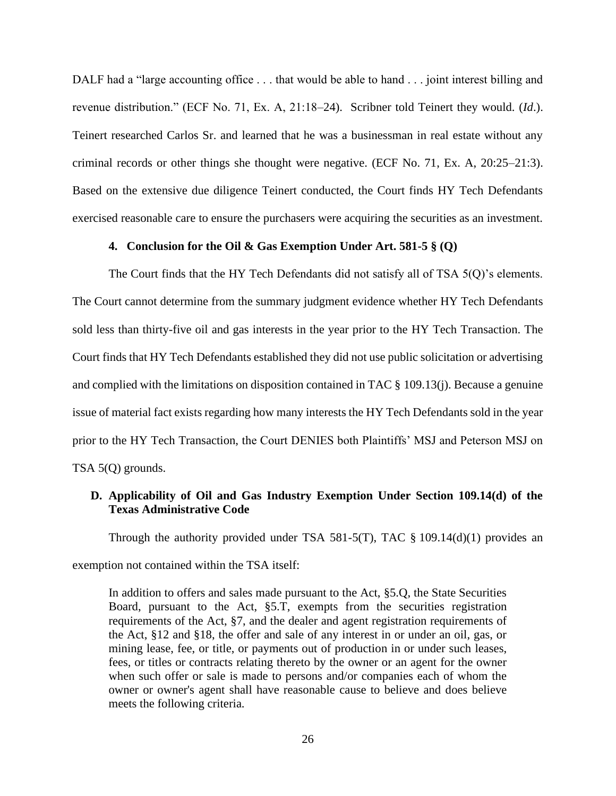DALF had a "large accounting office ... that would be able to hand ... joint interest billing and revenue distribution." (ECF No. 71, Ex. A, 21:18–24). Scribner told Teinert they would. (*Id*.). Teinert researched Carlos Sr. and learned that he was a businessman in real estate without any criminal records or other things she thought were negative. (ECF No. 71, Ex. A, 20:25–21:3). Based on the extensive due diligence Teinert conducted, the Court finds HY Tech Defendants exercised reasonable care to ensure the purchasers were acquiring the securities as an investment.

### **4. Conclusion for the Oil & Gas Exemption Under Art. 581-5 § (Q)**

The Court finds that the HY Tech Defendants did not satisfy all of TSA 5(Q)'s elements. The Court cannot determine from the summary judgment evidence whether HY Tech Defendants sold less than thirty-five oil and gas interests in the year prior to the HY Tech Transaction. The Court finds that HY Tech Defendants established they did not use public solicitation or advertising and complied with the limitations on disposition contained in TAC § 109.13(j). Because a genuine issue of material fact exists regarding how many interests the HY Tech Defendants sold in the year prior to the HY Tech Transaction, the Court DENIES both Plaintiffs' MSJ and Peterson MSJ on TSA 5(Q) grounds.

## **D. Applicability of Oil and Gas Industry Exemption Under Section 109.14(d) of the Texas Administrative Code**

Through the authority provided under TSA 581-5(T), TAC  $\S$  109.14(d)(1) provides an

exemption not contained within the TSA itself:

In addition to offers and sales made pursuant to the Act, §5.Q, the State Securities Board, pursuant to the Act, §5.T, exempts from the securities registration requirements of the Act, §7, and the dealer and agent registration requirements of the Act, §12 and §18, the offer and sale of any interest in or under an oil, gas, or mining lease, fee, or title, or payments out of production in or under such leases, fees, or titles or contracts relating thereto by the owner or an agent for the owner when such offer or sale is made to persons and/or companies each of whom the owner or owner's agent shall have reasonable cause to believe and does believe meets the following criteria.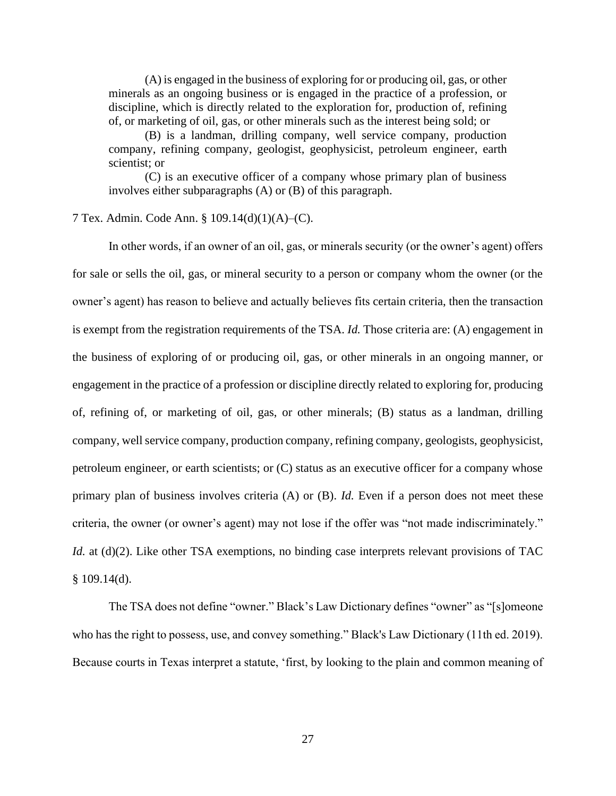(A) is engaged in the business of exploring for or producing oil, gas, or other minerals as an ongoing business or is engaged in the practice of a profession, or discipline, which is directly related to the exploration for, production of, refining of, or marketing of oil, gas, or other minerals such as the interest being sold; or

(B) is a landman, drilling company, well service company, production company, refining company, geologist, geophysicist, petroleum engineer, earth scientist; or

(C) is an executive officer of a company whose primary plan of business involves either subparagraphs (A) or (B) of this paragraph.

### 7 Tex. Admin. Code Ann. § 109.14(d)(1)(A)–(C).

In other words, if an owner of an oil, gas, or minerals security (or the owner's agent) offers for sale or sells the oil, gas, or mineral security to a person or company whom the owner (or the owner's agent) has reason to believe and actually believes fits certain criteria, then the transaction is exempt from the registration requirements of the TSA. *Id.* Those criteria are: (A) engagement in the business of exploring of or producing oil, gas, or other minerals in an ongoing manner, or engagement in the practice of a profession or discipline directly related to exploring for, producing of, refining of, or marketing of oil, gas, or other minerals; (B) status as a landman, drilling company, well service company, production company, refining company, geologists, geophysicist, petroleum engineer, or earth scientists; or (C) status as an executive officer for a company whose primary plan of business involves criteria (A) or (B). *Id.* Even if a person does not meet these criteria, the owner (or owner's agent) may not lose if the offer was "not made indiscriminately." *Id.* at (d)(2). Like other TSA exemptions, no binding case interprets relevant provisions of TAC  $$109.14(d).$ 

The TSA does not define "owner." Black's Law Dictionary defines "owner" as "[s]omeone who has the right to possess, use, and convey something." Black's Law Dictionary (11th ed. 2019). Because courts in Texas interpret a statute, 'first, by looking to the plain and common meaning of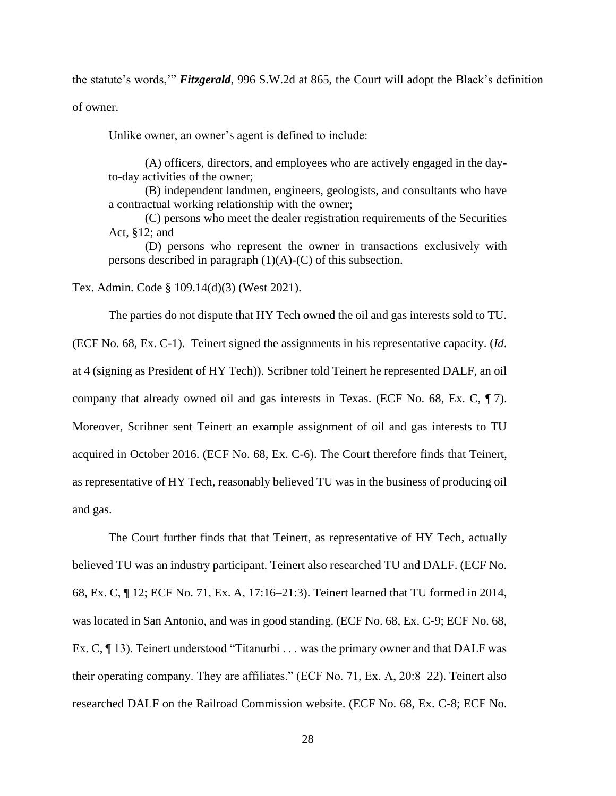the statute's words,'" *Fitzgerald*, 996 S.W.2d at 865, the Court will adopt the Black's definition of owner.

Unlike owner, an owner's agent is defined to include:

(A) officers, directors, and employees who are actively engaged in the dayto-day activities of the owner;

(B) independent landmen, engineers, geologists, and consultants who have a contractual working relationship with the owner;

(C) persons who meet the dealer registration requirements of the Securities Act, §12; and

(D) persons who represent the owner in transactions exclusively with persons described in paragraph  $(1)(A)-(C)$  of this subsection.

Tex. Admin. Code § 109.14(d)(3) (West 2021).

The parties do not dispute that HY Tech owned the oil and gas interests sold to TU.

(ECF No. 68, Ex. C-1). Teinert signed the assignments in his representative capacity. (*Id*. at 4 (signing as President of HY Tech)). Scribner told Teinert he represented DALF, an oil company that already owned oil and gas interests in Texas. (ECF No. 68, Ex. C, ¶ 7). Moreover, Scribner sent Teinert an example assignment of oil and gas interests to TU acquired in October 2016. (ECF No. 68, Ex. C-6). The Court therefore finds that Teinert, as representative of HY Tech, reasonably believed TU was in the business of producing oil and gas.

The Court further finds that that Teinert, as representative of HY Tech, actually believed TU was an industry participant. Teinert also researched TU and DALF. (ECF No. 68, Ex. C, ¶ 12; ECF No. 71, Ex. A, 17:16–21:3). Teinert learned that TU formed in 2014, was located in San Antonio, and was in good standing. (ECF No. 68, Ex. C-9; ECF No. 68, Ex. C, ¶ 13). Teinert understood "Titanurbi . . . was the primary owner and that DALF was their operating company. They are affiliates." (ECF No. 71, Ex. A, 20:8–22). Teinert also researched DALF on the Railroad Commission website. (ECF No. 68, Ex. C-8; ECF No.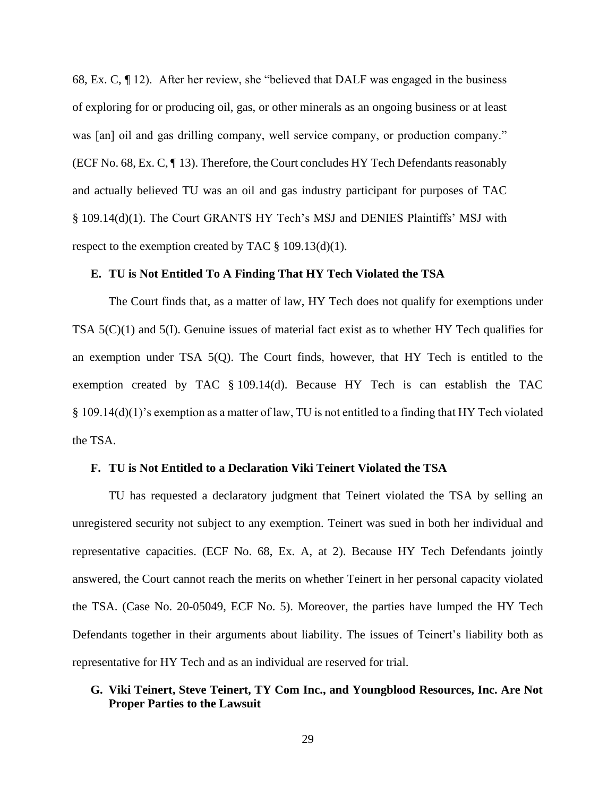68, Ex. C, ¶ 12). After her review, she "believed that DALF was engaged in the business of exploring for or producing oil, gas, or other minerals as an ongoing business or at least was [an] oil and gas drilling company, well service company, or production company." (ECF No. 68, Ex. C, ¶ 13). Therefore, the Court concludes HY Tech Defendants reasonably and actually believed TU was an oil and gas industry participant for purposes of TAC § 109.14(d)(1). The Court GRANTS HY Tech's MSJ and DENIES Plaintiffs' MSJ with respect to the exemption created by TAC  $\S$  109.13(d)(1).

### **E. TU is Not Entitled To A Finding That HY Tech Violated the TSA**

The Court finds that, as a matter of law, HY Tech does not qualify for exemptions under TSA 5(C)(1) and 5(I). Genuine issues of material fact exist as to whether HY Tech qualifies for an exemption under TSA 5(Q). The Court finds, however, that HY Tech is entitled to the exemption created by TAC § 109.14(d). Because HY Tech is can establish the TAC § 109.14(d)(1)'s exemption as a matter of law, TU is not entitled to a finding that HY Tech violated the TSA.

### **F. TU is Not Entitled to a Declaration Viki Teinert Violated the TSA**

TU has requested a declaratory judgment that Teinert violated the TSA by selling an unregistered security not subject to any exemption. Teinert was sued in both her individual and representative capacities. (ECF No. 68, Ex. A, at 2). Because HY Tech Defendants jointly answered, the Court cannot reach the merits on whether Teinert in her personal capacity violated the TSA. (Case No. 20-05049, ECF No. 5). Moreover, the parties have lumped the HY Tech Defendants together in their arguments about liability. The issues of Teinert's liability both as representative for HY Tech and as an individual are reserved for trial.

## **G. Viki Teinert, Steve Teinert, TY Com Inc., and Youngblood Resources, Inc. Are Not Proper Parties to the Lawsuit**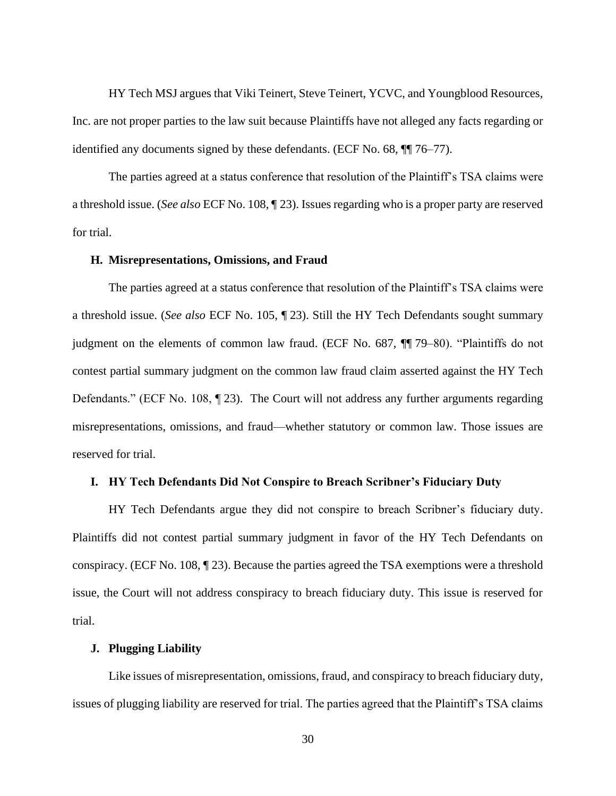HY Tech MSJ argues that Viki Teinert, Steve Teinert, YCVC, and Youngblood Resources, Inc. are not proper parties to the law suit because Plaintiffs have not alleged any facts regarding or identified any documents signed by these defendants. (ECF No. 68, ¶¶ 76–77).

The parties agreed at a status conference that resolution of the Plaintiff's TSA claims were a threshold issue. (*See also* ECF No. 108, ¶ 23). Issues regarding who is a proper party are reserved for trial.

### **H. Misrepresentations, Omissions, and Fraud**

The parties agreed at a status conference that resolution of the Plaintiff's TSA claims were a threshold issue. (*See also* ECF No. 105, ¶ 23). Still the HY Tech Defendants sought summary judgment on the elements of common law fraud. (ECF No. 687, ¶¶ 79–80). "Plaintiffs do not contest partial summary judgment on the common law fraud claim asserted against the HY Tech Defendants." (ECF No. 108, ¶ 23). The Court will not address any further arguments regarding misrepresentations, omissions, and fraud—whether statutory or common law. Those issues are reserved for trial.

## **I. HY Tech Defendants Did Not Conspire to Breach Scribner's Fiduciary Duty**

HY Tech Defendants argue they did not conspire to breach Scribner's fiduciary duty. Plaintiffs did not contest partial summary judgment in favor of the HY Tech Defendants on conspiracy. (ECF No. 108, ¶ 23). Because the parties agreed the TSA exemptions were a threshold issue, the Court will not address conspiracy to breach fiduciary duty. This issue is reserved for trial.

### **J. Plugging Liability**

Like issues of misrepresentation, omissions, fraud, and conspiracy to breach fiduciary duty, issues of plugging liability are reserved for trial. The parties agreed that the Plaintiff's TSA claims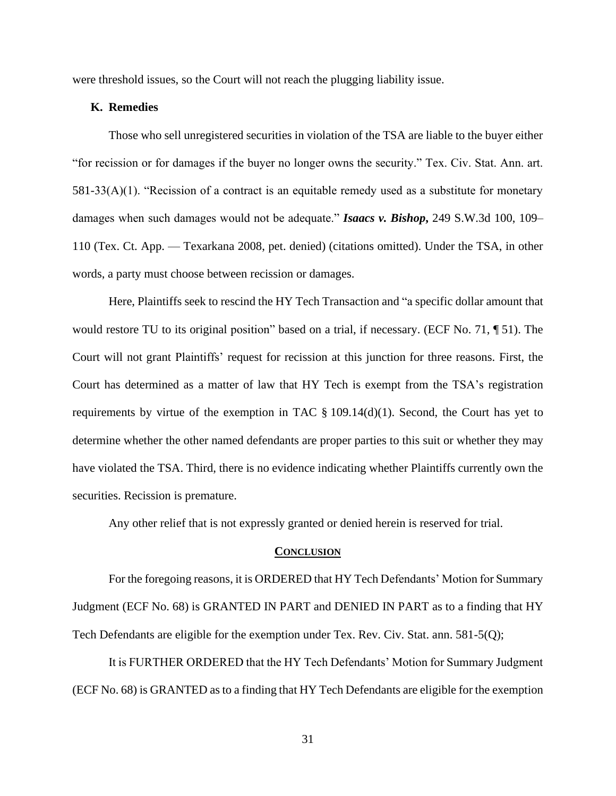were threshold issues, so the Court will not reach the plugging liability issue.

### **K. Remedies**

Those who sell unregistered securities in violation of the TSA are liable to the buyer either "for recission or for damages if the buyer no longer owns the security." Tex. Civ. Stat. Ann. art. 581-33(A)(1). "Recission of a contract is an equitable remedy used as a substitute for monetary damages when such damages would not be adequate." *Isaacs v. Bishop***,** 249 S.W.3d 100, 109– 110 (Tex. Ct. App. — Texarkana 2008, pet. denied) (citations omitted). Under the TSA, in other words, a party must choose between recission or damages.

Here, Plaintiffs seek to rescind the HY Tech Transaction and "a specific dollar amount that would restore TU to its original position" based on a trial, if necessary. (ECF No. 71, \int 51). The Court will not grant Plaintiffs' request for recission at this junction for three reasons. First, the Court has determined as a matter of law that HY Tech is exempt from the TSA's registration requirements by virtue of the exemption in TAC  $\S$  109.14(d)(1). Second, the Court has yet to determine whether the other named defendants are proper parties to this suit or whether they may have violated the TSA. Third, there is no evidence indicating whether Plaintiffs currently own the securities. Recission is premature.

Any other relief that is not expressly granted or denied herein is reserved for trial.

#### **CONCLUSION**

For the foregoing reasons, it is ORDERED that HY Tech Defendants' Motion for Summary Judgment (ECF No. 68) is GRANTED IN PART and DENIED IN PART as to a finding that HY Tech Defendants are eligible for the exemption under Tex. Rev. Civ. Stat. ann. 581-5(Q);

It is FURTHER ORDERED that the HY Tech Defendants' Motion for Summary Judgment (ECF No. 68) is GRANTED as to a finding that HY Tech Defendants are eligible for the exemption